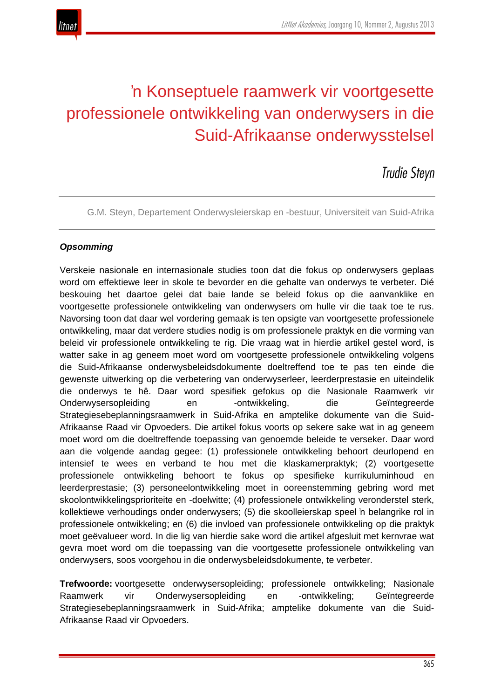

# 'n Konseptuele raamwerk vir voortgesette professionele ontwikkeling van onderwysers in die Suid-Afrikaanse onderwysstelsel

# *Trudie Steyn*

G.M. Steyn, Departement Onderwysleierskap en -bestuur, Universiteit van Suid-Afrika

#### *Opsomming*

Verskeie nasionale en internasionale studies toon dat die fokus op onderwysers geplaas word om effektiewe leer in skole te bevorder en die gehalte van onderwys te verbeter. Dié beskouing het daartoe gelei dat baie lande se beleid fokus op die aanvanklike en voortgesette professionele ontwikkeling van onderwysers om hulle vir die taak toe te rus. Navorsing toon dat daar wel vordering gemaak is ten opsigte van voortgesette professionele ontwikkeling, maar dat verdere studies nodig is om professionele praktyk en die vorming van beleid vir professionele ontwikkeling te rig. Die vraag wat in hierdie artikel gestel word, is watter sake in ag geneem moet word om voortgesette professionele ontwikkeling volgens die Suid-Afrikaanse onderwysbeleidsdokumente doeltreffend toe te pas ten einde die gewenste uitwerking op die verbetering van onderwyserleer, leerderprestasie en uiteindelik die onderwys te hê. Daar word spesifiek gefokus op die Nasionale Raamwerk vir Onderwysersopleiding en -ontwikkeling, die Geïntegreerde Strategiesebeplanningsraamwerk in Suid-Afrika en amptelike dokumente van die Suid-Afrikaanse Raad vir Opvoeders. Die artikel fokus voorts op sekere sake wat in ag geneem moet word om die doeltreffende toepassing van genoemde beleide te verseker. Daar word aan die volgende aandag gegee: (1) professionele ontwikkeling behoort deurlopend en intensief te wees en verband te hou met die klaskamerpraktyk; (2) voortgesette professionele ontwikkeling behoort te fokus op spesifieke kurrikuluminhoud en leerderprestasie; (3) personeelontwikkeling moet in ooreenstemming gebring word met skoolontwikkelingsprioriteite en -doelwitte; (4) professionele ontwikkeling veronderstel sterk, kollektiewe verhoudings onder onderwysers; (5) die skoolleierskap speel 'n belangrike rol in professionele ontwikkeling; en (6) die invloed van professionele ontwikkeling op die praktyk moet geëvalueer word. In die lig van hierdie sake word die artikel afgesluit met kernvrae wat gevra moet word om die toepassing van die voortgesette professionele ontwikkeling van onderwysers, soos voorgehou in die onderwysbeleidsdokumente, te verbeter.

**Trefwoorde:** voortgesette onderwysersopleiding; professionele ontwikkeling; Nasionale Raamwerk vir Onderwysersopleiding en -ontwikkeling; Geïntegreerde Strategiesebeplanningsraamwerk in Suid-Afrika; amptelike dokumente van die Suid-Afrikaanse Raad vir Opvoeders.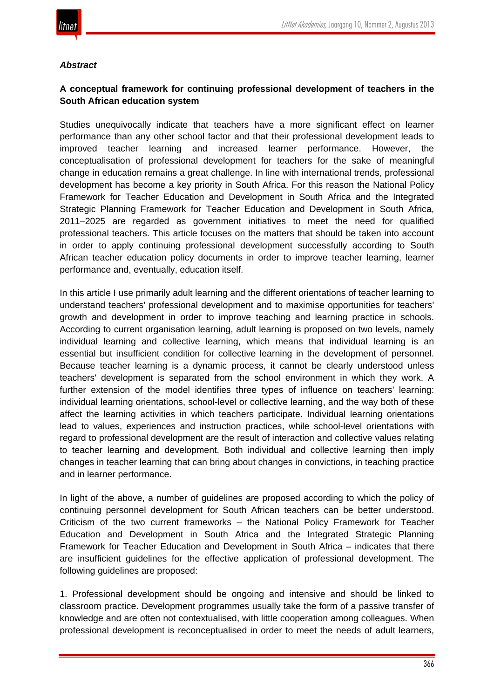

#### *Abstract*

## **A conceptual framework for continuing professional development of teachers in the South African education system**

Studies unequivocally indicate that teachers have a more significant effect on learner performance than any other school factor and that their professional development leads to improved teacher learning and increased learner performance. However, the conceptualisation of professional development for teachers for the sake of meaningful change in education remains a great challenge. In line with international trends, professional development has become a key priority in South Africa. For this reason the National Policy Framework for Teacher Education and Development in South Africa and the Integrated Strategic Planning Framework for Teacher Education and Development in South Africa, 2011–2025 are regarded as government initiatives to meet the need for qualified professional teachers. This article focuses on the matters that should be taken into account in order to apply continuing professional development successfully according to South African teacher education policy documents in order to improve teacher learning, learner performance and, eventually, education itself.

In this article I use primarily adult learning and the different orientations of teacher learning to understand teachers' professional development and to maximise opportunities for teachers' growth and development in order to improve teaching and learning practice in schools. According to current organisation learning, adult learning is proposed on two levels, namely individual learning and collective learning, which means that individual learning is an essential but insufficient condition for collective learning in the development of personnel. Because teacher learning is a dynamic process, it cannot be clearly understood unless teachers' development is separated from the school environment in which they work. A further extension of the model identifies three types of influence on teachers' learning: individual learning orientations, school-level or collective learning, and the way both of these affect the learning activities in which teachers participate. Individual learning orientations lead to values, experiences and instruction practices, while school-level orientations with regard to professional development are the result of interaction and collective values relating to teacher learning and development. Both individual and collective learning then imply changes in teacher learning that can bring about changes in convictions, in teaching practice and in learner performance.

In light of the above, a number of guidelines are proposed according to which the policy of continuing personnel development for South African teachers can be better understood. Criticism of the two current frameworks – the National Policy Framework for Teacher Education and Development in South Africa and the Integrated Strategic Planning Framework for Teacher Education and Development in South Africa – indicates that there are insufficient guidelines for the effective application of professional development. The following guidelines are proposed:

1. Professional development should be ongoing and intensive and should be linked to classroom practice. Development programmes usually take the form of a passive transfer of knowledge and are often not contextualised, with little cooperation among colleagues. When professional development is reconceptualised in order to meet the needs of adult learners,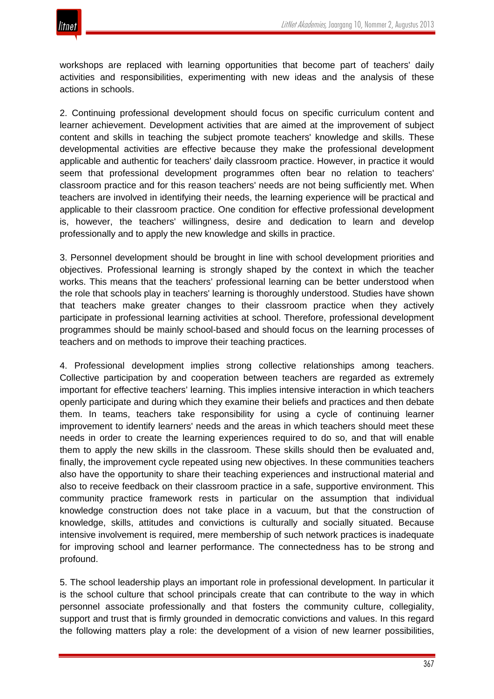workshops are replaced with learning opportunities that become part of teachers' daily activities and responsibilities, experimenting with new ideas and the analysis of these actions in schools.

2. Continuing professional development should focus on specific curriculum content and learner achievement. Development activities that are aimed at the improvement of subject content and skills in teaching the subject promote teachers' knowledge and skills. These developmental activities are effective because they make the professional development applicable and authentic for teachers' daily classroom practice. However, in practice it would seem that professional development programmes often bear no relation to teachers' classroom practice and for this reason teachers' needs are not being sufficiently met. When teachers are involved in identifying their needs, the learning experience will be practical and applicable to their classroom practice. One condition for effective professional development is, however, the teachers' willingness, desire and dedication to learn and develop professionally and to apply the new knowledge and skills in practice.

3. Personnel development should be brought in line with school development priorities and objectives. Professional learning is strongly shaped by the context in which the teacher works. This means that the teachers' professional learning can be better understood when the role that schools play in teachers' learning is thoroughly understood. Studies have shown that teachers make greater changes to their classroom practice when they actively participate in professional learning activities at school. Therefore, professional development programmes should be mainly school-based and should focus on the learning processes of teachers and on methods to improve their teaching practices.

4. Professional development implies strong collective relationships among teachers. Collective participation by and cooperation between teachers are regarded as extremely important for effective teachers' learning. This implies intensive interaction in which teachers openly participate and during which they examine their beliefs and practices and then debate them. In teams, teachers take responsibility for using a cycle of continuing learner improvement to identify learners' needs and the areas in which teachers should meet these needs in order to create the learning experiences required to do so, and that will enable them to apply the new skills in the classroom. These skills should then be evaluated and, finally, the improvement cycle repeated using new objectives. In these communities teachers also have the opportunity to share their teaching experiences and instructional material and also to receive feedback on their classroom practice in a safe, supportive environment. This community practice framework rests in particular on the assumption that individual knowledge construction does not take place in a vacuum, but that the construction of knowledge, skills, attitudes and convictions is culturally and socially situated. Because intensive involvement is required, mere membership of such network practices is inadequate for improving school and learner performance. The connectedness has to be strong and profound.

5. The school leadership plays an important role in professional development. In particular it is the school culture that school principals create that can contribute to the way in which personnel associate professionally and that fosters the community culture, collegiality, support and trust that is firmly grounded in democratic convictions and values. In this regard the following matters play a role: the development of a vision of new learner possibilities,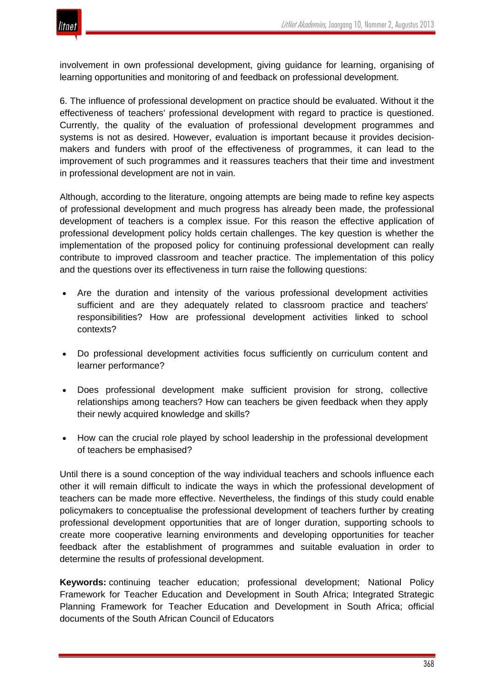

involvement in own professional development, giving guidance for learning, organising of learning opportunities and monitoring of and feedback on professional development.

6. The influence of professional development on practice should be evaluated. Without it the effectiveness of teachers' professional development with regard to practice is questioned. Currently, the quality of the evaluation of professional development programmes and systems is not as desired. However, evaluation is important because it provides decisionmakers and funders with proof of the effectiveness of programmes, it can lead to the improvement of such programmes and it reassures teachers that their time and investment in professional development are not in vain.

Although, according to the literature, ongoing attempts are being made to refine key aspects of professional development and much progress has already been made, the professional development of teachers is a complex issue. For this reason the effective application of professional development policy holds certain challenges. The key question is whether the implementation of the proposed policy for continuing professional development can really contribute to improved classroom and teacher practice. The implementation of this policy and the questions over its effectiveness in turn raise the following questions:

- Are the duration and intensity of the various professional development activities sufficient and are they adequately related to classroom practice and teachers' responsibilities? How are professional development activities linked to school contexts?
- Do professional development activities focus sufficiently on curriculum content and learner performance?
- Does professional development make sufficient provision for strong, collective relationships among teachers? How can teachers be given feedback when they apply their newly acquired knowledge and skills?
- How can the crucial role played by school leadership in the professional development of teachers be emphasised?

Until there is a sound conception of the way individual teachers and schools influence each other it will remain difficult to indicate the ways in which the professional development of teachers can be made more effective. Nevertheless, the findings of this study could enable policymakers to conceptualise the professional development of teachers further by creating professional development opportunities that are of longer duration, supporting schools to create more cooperative learning environments and developing opportunities for teacher feedback after the establishment of programmes and suitable evaluation in order to determine the results of professional development.

**Keywords:** continuing teacher education; professional development; National Policy Framework for Teacher Education and Development in South Africa; Integrated Strategic Planning Framework for Teacher Education and Development in South Africa; official documents of the South African Council of Educators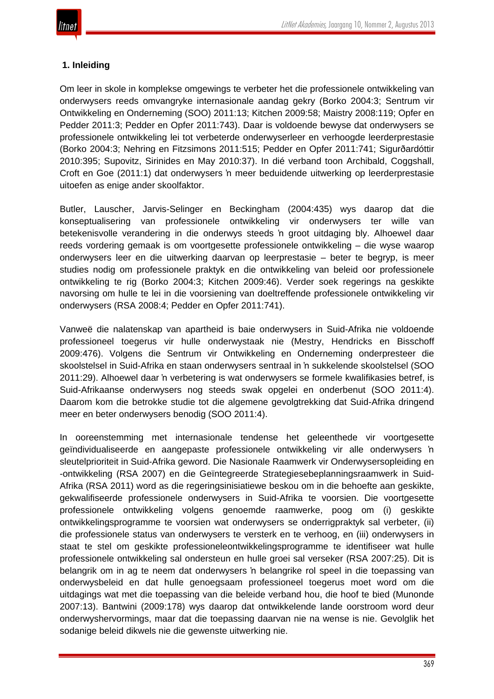# **1. Inleiding**

Om leer in skole in komplekse omgewings te verbeter het die professionele ontwikkeling van onderwysers reeds omvangryke internasionale aandag gekry (Borko 2004:3; Sentrum vir Ontwikkeling en Onderneming (SOO) 2011:13; Kitchen 2009:58; Maistry 2008:119; Opfer en Pedder 2011:3; Pedder en Opfer 2011:743). Daar is voldoende bewyse dat onderwysers se professionele ontwikkeling lei tot verbeterde onderwyserleer en verhoogde leerderprestasie (Borko 2004:3; Nehring en Fitzsimons 2011:515; Pedder en Opfer 2011:741; Sigurðardóttir 2010:395; Supovitz, Sirinides en May 2010:37). In dié verband toon Archibald, Coggshall, Croft en Goe (2011:1) dat onderwysers 'n meer beduidende uitwerking op leerderprestasie uitoefen as enige ander skoolfaktor.

Butler, Lauscher, Jarvis-Selinger en Beckingham (2004:435) wys daarop dat die konseptualisering van professionele ontwikkeling vir onderwysers ter wille van betekenisvolle verandering in die onderwys steeds 'n groot uitdaging bly. Alhoewel daar reeds vordering gemaak is om voortgesette professionele ontwikkeling – die wyse waarop onderwysers leer en die uitwerking daarvan op leerprestasie – beter te begryp, is meer studies nodig om professionele praktyk en die ontwikkeling van beleid oor professionele ontwikkeling te rig (Borko 2004:3; Kitchen 2009:46). Verder soek regerings na geskikte navorsing om hulle te lei in die voorsiening van doeltreffende professionele ontwikkeling vir onderwysers (RSA 2008:4; Pedder en Opfer 2011:741).

Vanweë die nalatenskap van apartheid is baie onderwysers in Suid-Afrika nie voldoende professioneel toegerus vir hulle onderwystaak nie (Mestry, Hendricks en Bisschoff 2009:476). Volgens die Sentrum vir Ontwikkeling en Onderneming onderpresteer die skoolstelsel in Suid-Afrika en staan onderwysers sentraal in 'n sukkelende skoolstelsel (SOO 2011:29). Alhoewel daar 'n verbetering is wat onderwysers se formele kwalifikasies betref, is Suid-Afrikaanse onderwysers nog steeds swak opgelei en onderbenut (SOO 2011:4). Daarom kom die betrokke studie tot die algemene gevolgtrekking dat Suid-Afrika dringend meer en beter onderwysers benodig (SOO 2011:4).

In ooreenstemming met internasionale tendense het geleenthede vir voortgesette geïndividualiseerde en aangepaste professionele ontwikkeling vir alle onderwysers 'n sleutelprioriteit in Suid-Afrika geword. Die Nasionale Raamwerk vir Onderwysersopleiding en -ontwikkeling (RSA 2007) en die Geïntegreerde Strategiesebeplanningsraamwerk in Suid-Afrika (RSA 2011) word as die regeringsinisiatiewe beskou om in die behoefte aan geskikte, gekwalifiseerde professionele onderwysers in Suid-Afrika te voorsien. Die voortgesette professionele ontwikkeling volgens genoemde raamwerke, poog om (i) geskikte ontwikkelingsprogramme te voorsien wat onderwysers se onderrigpraktyk sal verbeter, (ii) die professionele status van onderwysers te versterk en te verhoog, en (iii) onderwysers in staat te stel om geskikte professioneleontwikkelingsprogramme te identifiseer wat hulle professionele ontwikkeling sal ondersteun en hulle groei sal verseker (RSA 2007:25). Dit is belangrik om in ag te neem dat onderwysers 'n belangrike rol speel in die toepassing van onderwysbeleid en dat hulle genoegsaam professioneel toegerus moet word om die uitdagings wat met die toepassing van die beleide verband hou, die hoof te bied (Munonde 2007:13). Bantwini (2009:178) wys daarop dat ontwikkelende lande oorstroom word deur onderwyshervormings, maar dat die toepassing daarvan nie na wense is nie. Gevolglik het sodanige beleid dikwels nie die gewenste uitwerking nie.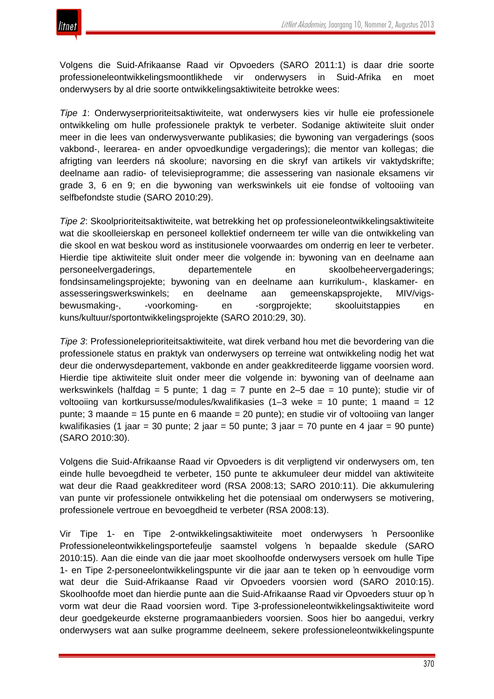

Volgens die Suid-Afrikaanse Raad vir Opvoeders (SARO 2011:1) is daar drie soorte professioneleontwikkelingsmoontlikhede vir onderwysers in Suid-Afrika en moet onderwysers by al drie soorte ontwikkelingsaktiwiteite betrokke wees:

*Tipe 1*: Onderwyserprioriteitsaktiwiteite, wat onderwysers kies vir hulle eie professionele ontwikkeling om hulle professionele praktyk te verbeter. Sodanige aktiwiteite sluit onder meer in die lees van onderwysverwante publikasies; die bywoning van vergaderings (soos vakbond-, leerarea- en ander opvoedkundige vergaderings); die mentor van kollegas; die afrigting van leerders ná skoolure; navorsing en die skryf van artikels vir vaktydskrifte; deelname aan radio- of televisieprogramme; die assessering van nasionale eksamens vir grade 3, 6 en 9; en die bywoning van werkswinkels uit eie fondse of voltooiing van selfbefondste studie (SARO 2010:29).

*Tipe 2*: Skoolprioriteitsaktiwiteite, wat betrekking het op professioneleontwikkelingsaktiwiteite wat die skoolleierskap en personeel kollektief onderneem ter wille van die ontwikkeling van die skool en wat beskou word as institusionele voorwaardes om onderrig en leer te verbeter. Hierdie tipe aktiwiteite sluit onder meer die volgende in: bywoning van en deelname aan personeelvergaderings, departementele en skoolbeheervergaderings; fondsinsamelingsprojekte; bywoning van en deelname aan kurrikulum-, klaskamer- en assesseringswerkswinkels; en deelname aan gemeenskapsprojekte, MIV/vigsbewusmaking-, -voorkoming- en -sorgprojekte; skooluitstappies en kuns/kultuur/sportontwikkelingsprojekte (SARO 2010:29, 30).

*Tipe 3*: Professioneleprioriteitsaktiwiteite, wat direk verband hou met die bevordering van die professionele status en praktyk van onderwysers op terreine wat ontwikkeling nodig het wat deur die onderwysdepartement, vakbonde en ander geakkrediteerde liggame voorsien word. Hierdie tipe aktiwiteite sluit onder meer die volgende in: bywoning van of deelname aan werkswinkels (halfdag = 5 punte; 1 dag = 7 punte en  $2-5$  dae = 10 punte); studie vir of voltooiing van kortkursusse/modules/kwalifikasies (1–3 weke = 10 punte; 1 maand = 12 punte; 3 maande = 15 punte en 6 maande = 20 punte); en studie vir of voltooiing van langer kwalifikasies (1 jaar = 30 punte; 2 jaar = 50 punte; 3 jaar = 70 punte en 4 jaar = 90 punte) (SARO 2010:30).

Volgens die Suid-Afrikaanse Raad vir Opvoeders is dit verpligtend vir onderwysers om, ten einde hulle bevoegdheid te verbeter, 150 punte te akkumuleer deur middel van aktiwiteite wat deur die Raad geakkrediteer word (RSA 2008:13; SARO 2010:11). Die akkumulering van punte vir professionele ontwikkeling het die potensiaal om onderwysers se motivering, professionele vertroue en bevoegdheid te verbeter (RSA 2008:13).

Vir Tipe 1- en Tipe 2-ontwikkelingsaktiwiteite moet onderwysers 'n Persoonlike Professioneleontwikkelingsportefeulje saamstel volgens 'n bepaalde skedule (SARO 2010:15). Aan die einde van die jaar moet skoolhoofde onderwysers versoek om hulle Tipe 1- en Tipe 2-personeelontwikkelingspunte vir die jaar aan te teken op 'n eenvoudige vorm wat deur die Suid-Afrikaanse Raad vir Opvoeders voorsien word (SARO 2010:15). Skoolhoofde moet dan hierdie punte aan die Suid-Afrikaanse Raad vir Opvoeders stuur op 'n vorm wat deur die Raad voorsien word. Tipe 3-professioneleontwikkelingsaktiwiteite word deur goedgekeurde eksterne programaanbieders voorsien. Soos hier bo aangedui, verkry onderwysers wat aan sulke programme deelneem, sekere professioneleontwikkelingspunte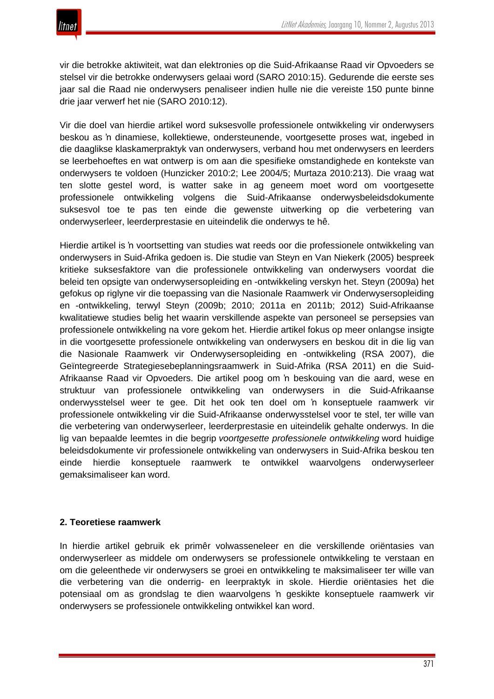vir die betrokke aktiwiteit, wat dan elektronies op die Suid-Afrikaanse Raad vir Opvoeders se stelsel vir die betrokke onderwysers gelaai word (SARO 2010:15). Gedurende die eerste ses jaar sal die Raad nie onderwysers penaliseer indien hulle nie die vereiste 150 punte binne drie jaar verwerf het nie (SARO 2010:12).

Vir die doel van hierdie artikel word suksesvolle professionele ontwikkeling vir onderwysers beskou as 'n dinamiese, kollektiewe, ondersteunende, voortgesette proses wat, ingebed in die daaglikse klaskamerpraktyk van onderwysers, verband hou met onderwysers en leerders se leerbehoeftes en wat ontwerp is om aan die spesifieke omstandighede en kontekste van onderwysers te voldoen (Hunzicker 2010:2; Lee 2004/5; Murtaza 2010:213). Die vraag wat ten slotte gestel word, is watter sake in ag geneem moet word om voortgesette professionele ontwikkeling volgens die Suid-Afrikaanse onderwysbeleidsdokumente suksesvol toe te pas ten einde die gewenste uitwerking op die verbetering van onderwyserleer, leerderprestasie en uiteindelik die onderwys te hê.

Hierdie artikel is 'n voortsetting van studies wat reeds oor die professionele ontwikkeling van onderwysers in Suid-Afrika gedoen is. Die studie van Steyn en Van Niekerk (2005) bespreek kritieke suksesfaktore van die professionele ontwikkeling van onderwysers voordat die beleid ten opsigte van onderwysersopleiding en -ontwikkeling verskyn het. Steyn (2009a) het gefokus op riglyne vir die toepassing van die Nasionale Raamwerk vir Onderwysersopleiding en -ontwikkeling, terwyl Steyn (2009b; 2010; 2011a en 2011b; 2012) Suid-Afrikaanse kwalitatiewe studies belig het waarin verskillende aspekte van personeel se persepsies van professionele ontwikkeling na vore gekom het. Hierdie artikel fokus op meer onlangse insigte in die voortgesette professionele ontwikkeling van onderwysers en beskou dit in die lig van die Nasionale Raamwerk vir Onderwysersopleiding en -ontwikkeling (RSA 2007), die Geïntegreerde Strategiesebeplanningsraamwerk in Suid-Afrika (RSA 2011) en die Suid-Afrikaanse Raad vir Opvoeders. Die artikel poog om 'n beskouing van die aard, wese en struktuur van professionele ontwikkeling van onderwysers in die Suid-Afrikaanse onderwysstelsel weer te gee. Dit het ook ten doel om 'n konseptuele raamwerk vir professionele ontwikkeling vir die Suid-Afrikaanse onderwysstelsel voor te stel, ter wille van die verbetering van onderwyserleer, leerderprestasie en uiteindelik gehalte onderwys. In die lig van bepaalde leemtes in die begrip *voortgesette professionele ontwikkeling* word huidige beleidsdokumente vir professionele ontwikkeling van onderwysers in Suid-Afrika beskou ten einde hierdie konseptuele raamwerk te ontwikkel waarvolgens onderwyserleer gemaksimaliseer kan word.

#### **2. Teoretiese raamwerk**

In hierdie artikel gebruik ek primêr volwasseneleer en die verskillende oriëntasies van onderwyserleer as middele om onderwysers se professionele ontwikkeling te verstaan en om die geleenthede vir onderwysers se groei en ontwikkeling te maksimaliseer ter wille van die verbetering van die onderrig- en leerpraktyk in skole. Hierdie oriëntasies het die potensiaal om as grondslag te dien waarvolgens 'n geskikte konseptuele raamwerk vir onderwysers se professionele ontwikkeling ontwikkel kan word.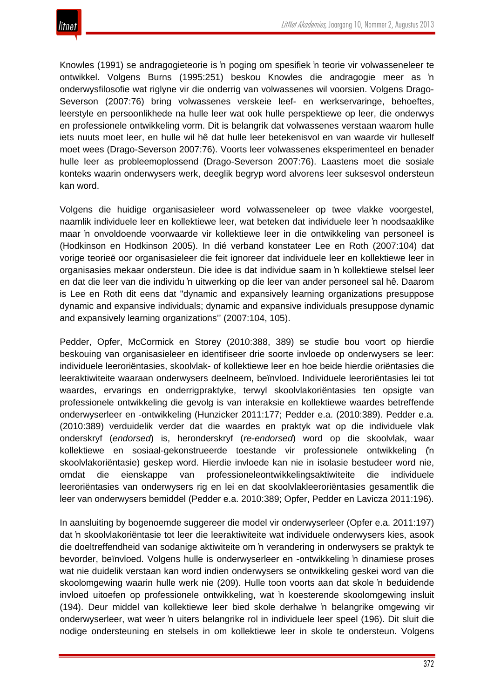Knowles (1991) se andragogieteorie is 'n poging om spesifiek 'n teorie vir volwasseneleer te ontwikkel. Volgens Burns (1995:251) beskou Knowles die andragogie meer as 'n onderwysfilosofie wat riglyne vir die onderrig van volwassenes wil voorsien. Volgens Drago-Severson (2007:76) bring volwassenes verskeie leef- en werkservaringe, behoeftes, leerstyle en persoonlikhede na hulle leer wat ook hulle perspektiewe op leer, die onderwys en professionele ontwikkeling vorm. Dit is belangrik dat volwassenes verstaan waarom hulle iets nuuts moet leer, en hulle wil hê dat hulle leer betekenisvol en van waarde vir hulleself moet wees (Drago-Severson 2007:76). Voorts leer volwassenes eksperimenteel en benader hulle leer as probleemoplossend (Drago-Severson 2007:76). Laastens moet die sosiale konteks waarin onderwysers werk, deeglik begryp word alvorens leer suksesvol ondersteun kan word.

Volgens die huidige organisasieleer word volwasseneleer op twee vlakke voorgestel, naamlik individuele leer en kollektiewe leer, wat beteken dat individuele leer 'n noodsaaklike maar 'n onvoldoende voorwaarde vir kollektiewe leer in die ontwikkeling van personeel is (Hodkinson en Hodkinson 2005). In dié verband konstateer Lee en Roth (2007:104) dat vorige teorieë oor organisasieleer die feit ignoreer dat individuele leer en kollektiewe leer in organisasies mekaar ondersteun. Die idee is dat individue saam in 'n kollektiewe stelsel leer en dat die leer van die individu 'n uitwerking op die leer van ander personeel sal hê. Daarom is Lee en Roth dit eens dat "dynamic and expansively learning organizations presuppose dynamic and expansive individuals; dynamic and expansive individuals presuppose dynamic and expansively learning organizations'' (2007:104, 105).

Pedder, Opfer, McCormick en Storey (2010:388, 389) se studie bou voort op hierdie beskouing van organisasieleer en identifiseer drie soorte invloede op onderwysers se leer: individuele leeroriëntasies, skoolvlak- of kollektiewe leer en hoe beide hierdie oriëntasies die leeraktiwiteite waaraan onderwysers deelneem, beïnvloed. Individuele leeroriëntasies lei tot waardes, ervarings en onderrigpraktyke, terwyl skoolvlakoriëntasies ten opsigte van professionele ontwikkeling die gevolg is van interaksie en kollektiewe waardes betreffende onderwyserleer en -ontwikkeling (Hunzicker 2011:177; Pedder e.a. (2010:389). Pedder e.a. (2010:389) verduidelik verder dat die waardes en praktyk wat op die individuele vlak onderskryf (*endorsed*) is, heronderskryf (*re-endorsed*) word op die skoolvlak, waar kollektiewe en sosiaal-gekonstrueerde toestande vir professionele ontwikkeling ('n skoolvlakoriëntasie) geskep word. Hierdie invloede kan nie in isolasie bestudeer word nie, omdat die eienskappe van professioneleontwikkelingsaktiwiteite die individuele leeroriëntasies van onderwysers rig en lei en dat skoolvlakleeroriëntasies gesamentlik die leer van onderwysers bemiddel (Pedder e.a. 2010:389; Opfer, Pedder en Lavicza 2011:196).

In aansluiting by bogenoemde suggereer die model vir onderwyserleer (Opfer e.a. 2011:197) dat 'n skoolvlakoriëntasie tot leer die leeraktiwiteite wat individuele onderwysers kies, asook die doeltreffendheid van sodanige aktiwiteite om 'n verandering in onderwysers se praktyk te bevorder, beïnvloed. Volgens hulle is onderwyserleer en -ontwikkeling 'n dinamiese proses wat nie duidelik verstaan kan word indien onderwysers se ontwikkeling geskei word van die skoolomgewing waarin hulle werk nie (209). Hulle toon voorts aan dat skole 'n beduidende invloed uitoefen op professionele ontwikkeling, wat 'n koesterende skoolomgewing insluit (194). Deur middel van kollektiewe leer bied skole derhalwe 'n belangrike omgewing vir onderwyserleer, wat weer 'n uiters belangrike rol in individuele leer speel (196). Dit sluit die nodige ondersteuning en stelsels in om kollektiewe leer in skole te ondersteun. Volgens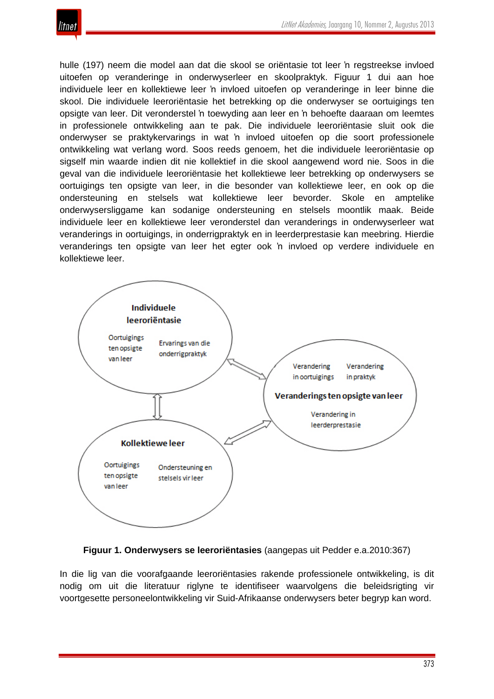

hulle (197) neem die model aan dat die skool se oriëntasie tot leer 'n regstreekse invloed uitoefen op veranderinge in onderwyserleer en skoolpraktyk. Figuur 1 dui aan hoe individuele leer en kollektiewe leer 'n invloed uitoefen op veranderinge in leer binne die skool. Die individuele leeroriëntasie het betrekking op die onderwyser se oortuigings ten opsigte van leer. Dit veronderstel 'n toewyding aan leer en 'n behoefte daaraan om leemtes in professionele ontwikkeling aan te pak. Die individuele leeroriëntasie sluit ook die onderwyser se praktykervarings in wat 'n invloed uitoefen op die soort professionele ontwikkeling wat verlang word. Soos reeds genoem, het die individuele leeroriëntasie op sigself min waarde indien dit nie kollektief in die skool aangewend word nie. Soos in die geval van die individuele leeroriëntasie het kollektiewe leer betrekking op onderwysers se oortuigings ten opsigte van leer, in die besonder van kollektiewe leer, en ook op die ondersteuning en stelsels wat kollektiewe leer bevorder. Skole en amptelike onderwysersliggame kan sodanige ondersteuning en stelsels moontlik maak. Beide individuele leer en kollektiewe leer veronderstel dan veranderings in onderwyserleer wat veranderings in oortuigings, in onderrigpraktyk en in leerderprestasie kan meebring. Hierdie veranderings ten opsigte van leer het egter ook 'n invloed op verdere individuele en kollektiewe leer.



**Figuur 1. Onderwysers se leeroriëntasies** (aangepas uit Pedder e.a.2010:367)

In die lig van die voorafgaande leeroriëntasies rakende professionele ontwikkeling, is dit nodig om uit die literatuur riglyne te identifiseer waarvolgens die beleidsrigting vir voortgesette personeelontwikkeling vir Suid-Afrikaanse onderwysers beter begryp kan word.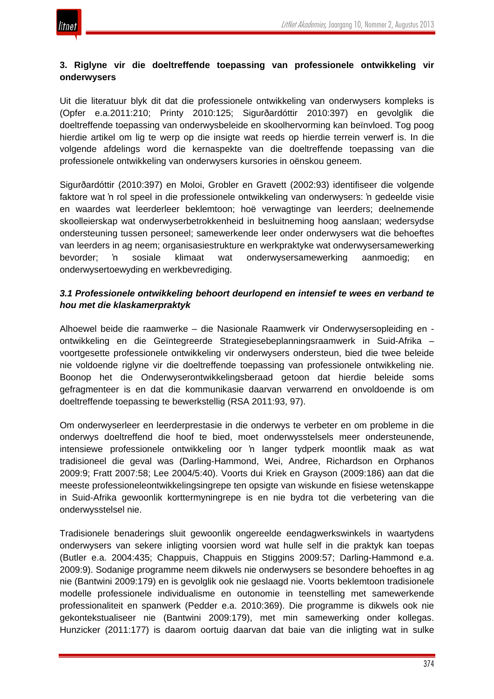

# **3. Riglyne vir die doeltreffende toepassing van professionele ontwikkeling vir onderwysers**

Uit die literatuur blyk dit dat die professionele ontwikkeling van onderwysers kompleks is (Opfer e.a.2011:210; Printy 2010:125; Sigurðardóttir 2010:397) en gevolglik die doeltreffende toepassing van onderwysbeleide en skoolhervorming kan beïnvloed. Tog poog hierdie artikel om lig te werp op die insigte wat reeds op hierdie terrein verwerf is. In die volgende afdelings word die kernaspekte van die doeltreffende toepassing van die professionele ontwikkeling van onderwysers kursories in oënskou geneem.

Sigurðardóttir (2010:397) en Moloi, Grobler en Gravett (2002:93) identifiseer die volgende faktore wat 'n rol speel in die professionele ontwikkeling van onderwysers: 'n gedeelde visie en waardes wat leerderleer beklemtoon; hoë verwagtinge van leerders; deelnemende skoolleierskap wat onderwyserbetrokkenheid in besluitneming hoog aanslaan; wedersydse ondersteuning tussen personeel; samewerkende leer onder onderwysers wat die behoeftes van leerders in ag neem; organisasiestrukture en werkpraktyke wat onderwysersamewerking bevorder; 'n sosiale klimaat wat onderwysersamewerking aanmoedig; en onderwysertoewyding en werkbevrediging.

# *3.1 Professionele ontwikkeling behoort deurlopend en intensief te wees en verband te hou met die klaskamerpraktyk*

Alhoewel beide die raamwerke – die Nasionale Raamwerk vir Onderwysersopleiding en ontwikkeling en die Geïntegreerde Strategiesebeplanningsraamwerk in Suid-Afrika – voortgesette professionele ontwikkeling vir onderwysers ondersteun, bied die twee beleide nie voldoende riglyne vir die doeltreffende toepassing van professionele ontwikkeling nie. Boonop het die Onderwyserontwikkelingsberaad getoon dat hierdie beleide soms gefragmenteer is en dat die kommunikasie daarvan verwarrend en onvoldoende is om doeltreffende toepassing te bewerkstellig (RSA 2011:93, 97).

Om onderwyserleer en leerderprestasie in die onderwys te verbeter en om probleme in die onderwys doeltreffend die hoof te bied, moet onderwysstelsels meer ondersteunende, intensiewe professionele ontwikkeling oor 'n langer tydperk moontlik maak as wat tradisioneel die geval was (Darling-Hammond, Wei, Andree, Richardson en Orphanos 2009:9; Fratt 2007:58; Lee 2004/5:40). Voorts dui Kriek en Grayson (2009:186) aan dat die meeste professioneleontwikkelingsingrepe ten opsigte van wiskunde en fisiese wetenskappe in Suid-Afrika gewoonlik korttermyningrepe is en nie bydra tot die verbetering van die onderwysstelsel nie.

Tradisionele benaderings sluit gewoonlik ongereelde eendagwerkswinkels in waartydens onderwysers van sekere inligting voorsien word wat hulle self in die praktyk kan toepas (Butler e.a. 2004:435; Chappuis, Chappuis en Stiggins 2009:57; Darling-Hammond e.a. 2009:9). Sodanige programme neem dikwels nie onderwysers se besondere behoeftes in ag nie (Bantwini 2009:179) en is gevolglik ook nie geslaagd nie. Voorts beklemtoon tradisionele modelle professionele individualisme en outonomie in teenstelling met samewerkende professionaliteit en spanwerk (Pedder e.a. 2010:369). Die programme is dikwels ook nie gekontekstualiseer nie (Bantwini 2009:179), met min samewerking onder kollegas. Hunzicker (2011:177) is daarom oortuig daarvan dat baie van die inligting wat in sulke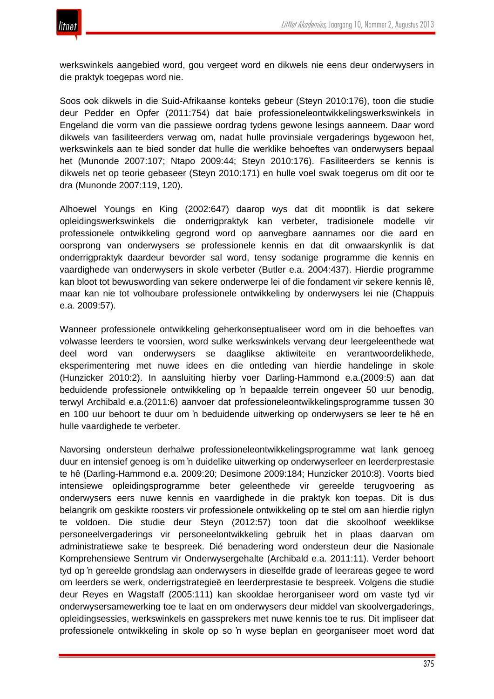

werkswinkels aangebied word, gou vergeet word en dikwels nie eens deur onderwysers in die praktyk toegepas word nie.

Soos ook dikwels in die Suid-Afrikaanse konteks gebeur (Steyn 2010:176), toon die studie deur Pedder en Opfer (2011:754) dat baie professioneleontwikkelingswerkswinkels in Engeland die vorm van die passiewe oordrag tydens gewone lesings aanneem. Daar word dikwels van fasiliteerders verwag om, nadat hulle provinsiale vergaderings bygewoon het, werkswinkels aan te bied sonder dat hulle die werklike behoeftes van onderwysers bepaal het (Munonde 2007:107; Ntapo 2009:44; Steyn 2010:176). Fasiliteerders se kennis is dikwels net op teorie gebaseer (Steyn 2010:171) en hulle voel swak toegerus om dit oor te dra (Munonde 2007:119, 120).

Alhoewel Youngs en King (2002:647) daarop wys dat dit moontlik is dat sekere opleidingswerkswinkels die onderrigpraktyk kan verbeter, tradisionele modelle vir professionele ontwikkeling gegrond word op aanvegbare aannames oor die aard en oorsprong van onderwysers se professionele kennis en dat dit onwaarskynlik is dat onderrigpraktyk daardeur bevorder sal word, tensy sodanige programme die kennis en vaardighede van onderwysers in skole verbeter (Butler e.a. 2004:437). Hierdie programme kan bloot tot bewuswording van sekere onderwerpe lei of die fondament vir sekere kennis lê, maar kan nie tot volhoubare professionele ontwikkeling by onderwysers lei nie (Chappuis e.a. 2009:57).

Wanneer professionele ontwikkeling geherkonseptualiseer word om in die behoeftes van volwasse leerders te voorsien, word sulke werkswinkels vervang deur leergeleenthede wat deel word van onderwysers se daaglikse aktiwiteite en verantwoordelikhede, eksperimentering met nuwe idees en die ontleding van hierdie handelinge in skole (Hunzicker 2010:2). In aansluiting hierby voer Darling-Hammond e.a.(2009:5) aan dat beduidende professionele ontwikkeling op 'n bepaalde terrein ongeveer 50 uur benodig, terwyl Archibald e.a.(2011:6) aanvoer dat professioneleontwikkelingsprogramme tussen 30 en 100 uur behoort te duur om 'n beduidende uitwerking op onderwysers se leer te hê en hulle vaardighede te verbeter.

Navorsing ondersteun derhalwe professioneleontwikkelingsprogramme wat lank genoeg duur en intensief genoeg is om 'n duidelike uitwerking op onderwyserleer en leerderprestasie te hê (Darling-Hammond e.a. 2009:20; Desimone 2009:184; Hunzicker 2010:8). Voorts bied intensiewe opleidingsprogramme beter geleenthede vir gereelde terugvoering as onderwysers eers nuwe kennis en vaardighede in die praktyk kon toepas. Dit is dus belangrik om geskikte roosters vir professionele ontwikkeling op te stel om aan hierdie riglyn te voldoen. Die studie deur Steyn (2012:57) toon dat die skoolhoof weeklikse personeelvergaderings vir personeelontwikkeling gebruik het in plaas daarvan om administratiewe sake te bespreek. Dié benadering word ondersteun deur die Nasionale Komprehensiewe Sentrum vir Onderwysergehalte (Archibald e.a. 2011:11). Verder behoort tyd op 'n gereelde grondslag aan onderwysers in dieselfde grade of leerareas gegee te word om leerders se werk, onderrigstrategieë en leerderprestasie te bespreek. Volgens die studie deur Reyes en Wagstaff (2005:111) kan skooldae herorganiseer word om vaste tyd vir onderwysersamewerking toe te laat en om onderwysers deur middel van skoolvergaderings, opleidingsessies, werkswinkels en gassprekers met nuwe kennis toe te rus. Dit impliseer dat professionele ontwikkeling in skole op so 'n wyse beplan en georganiseer moet word dat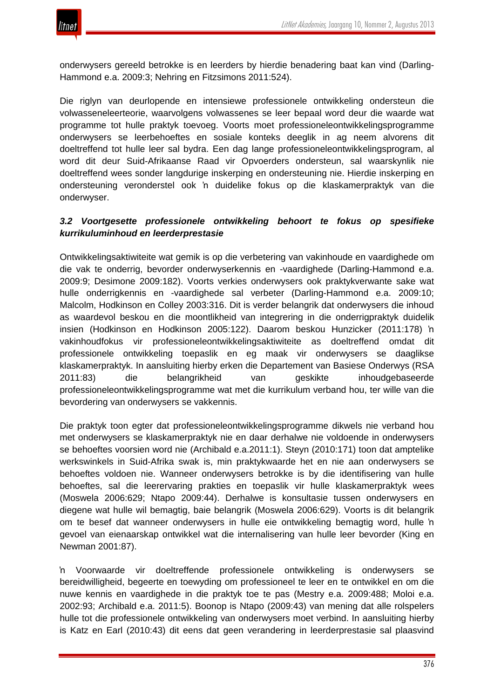

onderwysers gereeld betrokke is en leerders by hierdie benadering baat kan vind (Darling-Hammond e.a. 2009:3; Nehring en Fitzsimons 2011:524).

Die riglyn van deurlopende en intensiewe professionele ontwikkeling ondersteun die volwasseneleerteorie, waarvolgens volwassenes se leer bepaal word deur die waarde wat programme tot hulle praktyk toevoeg. Voorts moet professioneleontwikkelingsprogramme onderwysers se leerbehoeftes en sosiale konteks deeglik in ag neem alvorens dit doeltreffend tot hulle leer sal bydra. Een dag lange professioneleontwikkelingsprogram, al word dit deur Suid-Afrikaanse Raad vir Opvoerders ondersteun, sal waarskynlik nie doeltreffend wees sonder langdurige inskerping en ondersteuning nie. Hierdie inskerping en ondersteuning veronderstel ook 'n duidelike fokus op die klaskamerpraktyk van die onderwyser.

# *3.2 Voortgesette professionele ontwikkeling behoort te fokus op spesifieke kurrikuluminhoud en leerderprestasie*

Ontwikkelingsaktiwiteite wat gemik is op die verbetering van vakinhoude en vaardighede om die vak te onderrig, bevorder onderwyserkennis en -vaardighede (Darling-Hammond e.a. 2009:9; Desimone 2009:182). Voorts verkies onderwysers ook praktykverwante sake wat hulle onderrigkennis en -vaardighede sal verbeter (Darling-Hammond e.a. 2009:10; Malcolm, Hodkinson en Colley 2003:316. Dit is verder belangrik dat onderwysers die inhoud as waardevol beskou en die moontlikheid van integrering in die onderrigpraktyk duidelik insien (Hodkinson en Hodkinson 2005:122). Daarom beskou Hunzicker (2011:178) 'n vakinhoudfokus vir professioneleontwikkelingsaktiwiteite as doeltreffend omdat dit professionele ontwikkeling toepaslik en eg maak vir onderwysers se daaglikse klaskamerpraktyk. In aansluiting hierby erken die Departement van Basiese Onderwys (RSA 2011:83) die belangrikheid van geskikte inhoudgebaseerde professioneleontwikkelingsprogramme wat met die kurrikulum verband hou, ter wille van die bevordering van onderwysers se vakkennis.

Die praktyk toon egter dat professioneleontwikkelingsprogramme dikwels nie verband hou met onderwysers se klaskamerpraktyk nie en daar derhalwe nie voldoende in onderwysers se behoeftes voorsien word nie (Archibald e.a.2011:1). Steyn (2010:171) toon dat amptelike werkswinkels in Suid-Afrika swak is, min praktykwaarde het en nie aan onderwysers se behoeftes voldoen nie. Wanneer onderwysers betrokke is by die identifisering van hulle behoeftes, sal die leerervaring prakties en toepaslik vir hulle klaskamerpraktyk wees (Moswela 2006:629; Ntapo 2009:44). Derhalwe is konsultasie tussen onderwysers en diegene wat hulle wil bemagtig, baie belangrik (Moswela 2006:629). Voorts is dit belangrik om te besef dat wanneer onderwysers in hulle eie ontwikkeling bemagtig word, hulle 'n gevoel van eienaarskap ontwikkel wat die internalisering van hulle leer bevorder (King en Newman 2001:87).

'n Voorwaarde vir doeltreffende professionele ontwikkeling is onderwysers se bereidwilligheid, begeerte en toewyding om professioneel te leer en te ontwikkel en om die nuwe kennis en vaardighede in die praktyk toe te pas (Mestry e.a. 2009:488; Moloi e.a. 2002:93; Archibald e.a. 2011:5). Boonop is Ntapo (2009:43) van mening dat alle rolspelers hulle tot die professionele ontwikkeling van onderwysers moet verbind. In aansluiting hierby is Katz en Earl (2010:43) dit eens dat geen verandering in leerderprestasie sal plaasvind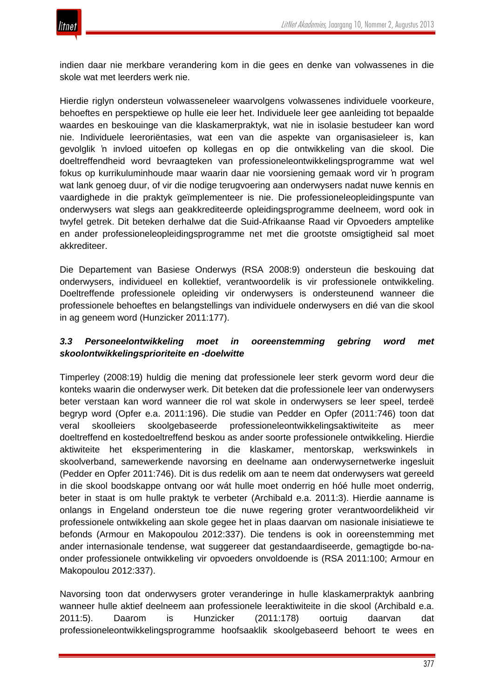indien daar nie merkbare verandering kom in die gees en denke van volwassenes in die skole wat met leerders werk nie.

Hierdie riglyn ondersteun volwasseneleer waarvolgens volwassenes individuele voorkeure, behoeftes en perspektiewe op hulle eie leer het. Individuele leer gee aanleiding tot bepaalde waardes en beskouinge van die klaskamerpraktyk, wat nie in isolasie bestudeer kan word nie. Individuele leeroriëntasies, wat een van die aspekte van organisasieleer is, kan gevolglik 'n invloed uitoefen op kollegas en op die ontwikkeling van die skool. Die doeltreffendheid word bevraagteken van professioneleontwikkelingsprogramme wat wel fokus op kurrikuluminhoude maar waarin daar nie voorsiening gemaak word vir 'n program wat lank genoeg duur, of vir die nodige terugvoering aan onderwysers nadat nuwe kennis en vaardighede in die praktyk geïmplementeer is nie. Die professioneleopleidingspunte van onderwysers wat slegs aan geakkrediteerde opleidingsprogramme deelneem, word ook in twyfel getrek. Dit beteken derhalwe dat die Suid-Afrikaanse Raad vir Opvoeders amptelike en ander professioneleopleidingsprogramme net met die grootste omsigtigheid sal moet akkrediteer.

Die Departement van Basiese Onderwys (RSA 2008:9) ondersteun die beskouing dat onderwysers, individueel en kollektief, verantwoordelik is vir professionele ontwikkeling. Doeltreffende professionele opleiding vir onderwysers is ondersteunend wanneer die professionele behoeftes en belangstellings van individuele onderwysers en dié van die skool in ag geneem word (Hunzicker 2011:177).

# *3.3 Personeelontwikkeling moet in ooreenstemming gebring word met skoolontwikkelingsprioriteite en -doelwitte*

Timperley (2008:19) huldig die mening dat professionele leer sterk gevorm word deur die konteks waarin die onderwyser werk. Dit beteken dat die professionele leer van onderwysers beter verstaan kan word wanneer die rol wat skole in onderwysers se leer speel, terdeë begryp word (Opfer e.a. 2011:196). Die studie van Pedder en Opfer (2011:746) toon dat veral skoolleiers skoolgebaseerde professioneleontwikkelingsaktiwiteite as meer doeltreffend en kostedoeltreffend beskou as ander soorte professionele ontwikkeling. Hierdie aktiwiteite het eksperimentering in die klaskamer, mentorskap, werkswinkels in skoolverband, samewerkende navorsing en deelname aan onderwysernetwerke ingesluit (Pedder en Opfer 2011:746). Dit is dus redelik om aan te neem dat onderwysers wat gereeld in die skool boodskappe ontvang oor wát hulle moet onderrig en hóé hulle moet onderrig, beter in staat is om hulle praktyk te verbeter (Archibald e.a. 2011:3). Hierdie aanname is onlangs in Engeland ondersteun toe die nuwe regering groter verantwoordelikheid vir professionele ontwikkeling aan skole gegee het in plaas daarvan om nasionale inisiatiewe te befonds (Armour en Makopoulou 2012:337). Die tendens is ook in ooreenstemming met ander internasionale tendense, wat suggereer dat gestandaardiseerde, gemagtigde bo-naonder professionele ontwikkeling vir opvoeders onvoldoende is (RSA 2011:100; Armour en Makopoulou 2012:337).

Navorsing toon dat onderwysers groter veranderinge in hulle klaskamerpraktyk aanbring wanneer hulle aktief deelneem aan professionele leeraktiwiteite in die skool (Archibald e.a. 2011:5). Daarom is Hunzicker (2011:178) oortuig daarvan dat professioneleontwikkelingsprogramme hoofsaaklik skoolgebaseerd behoort te wees en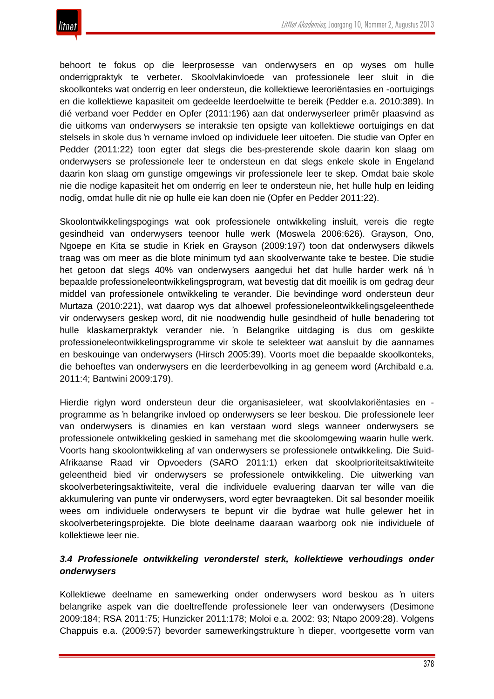

behoort te fokus op die leerprosesse van onderwysers en op wyses om hulle onderrigpraktyk te verbeter. Skoolvlakinvloede van professionele leer sluit in die skoolkonteks wat onderrig en leer ondersteun, die kollektiewe leeroriëntasies en -oortuigings en die kollektiewe kapasiteit om gedeelde leerdoelwitte te bereik (Pedder e.a. 2010:389). In dié verband voer Pedder en Opfer (2011:196) aan dat onderwyserleer primêr plaasvind as die uitkoms van onderwysers se interaksie ten opsigte van kollektiewe oortuigings en dat stelsels in skole dus 'n vername invloed op individuele leer uitoefen. Die studie van Opfer en Pedder (2011:22) toon egter dat slegs die bes-presterende skole daarin kon slaag om onderwysers se professionele leer te ondersteun en dat slegs enkele skole in Engeland daarin kon slaag om gunstige omgewings vir professionele leer te skep. Omdat baie skole nie die nodige kapasiteit het om onderrig en leer te ondersteun nie, het hulle hulp en leiding nodig, omdat hulle dit nie op hulle eie kan doen nie (Opfer en Pedder 2011:22).

Skoolontwikkelingspogings wat ook professionele ontwikkeling insluit, vereis die regte gesindheid van onderwysers teenoor hulle werk (Moswela 2006:626). Grayson, Ono, Ngoepe en Kita se studie in Kriek en Grayson (2009:197) toon dat onderwysers dikwels traag was om meer as die blote minimum tyd aan skoolverwante take te bestee. Die studie het getoon dat slegs 40% van onderwysers aangedui het dat hulle harder werk ná 'n bepaalde professioneleontwikkelingsprogram, wat bevestig dat dit moeilik is om gedrag deur middel van professionele ontwikkeling te verander. Die bevindinge word ondersteun deur Murtaza (2010:221), wat daarop wys dat alhoewel professioneleontwikkelingsgeleenthede vir onderwysers geskep word, dit nie noodwendig hulle gesindheid of hulle benadering tot hulle klaskamerpraktyk verander nie. 'n Belangrike uitdaging is dus om geskikte professioneleontwikkelingsprogramme vir skole te selekteer wat aansluit by die aannames en beskouinge van onderwysers (Hirsch 2005:39). Voorts moet die bepaalde skoolkonteks, die behoeftes van onderwysers en die leerderbevolking in ag geneem word (Archibald e.a. 2011:4; Bantwini 2009:179).

Hierdie riglyn word ondersteun deur die organisasieleer, wat skoolvlakoriëntasies en programme as 'n belangrike invloed op onderwysers se leer beskou. Die professionele leer van onderwysers is dinamies en kan verstaan word slegs wanneer onderwysers se professionele ontwikkeling geskied in samehang met die skoolomgewing waarin hulle werk. Voorts hang skoolontwikkeling af van onderwysers se professionele ontwikkeling. Die Suid-Afrikaanse Raad vir Opvoeders (SARO 2011:1) erken dat skoolprioriteitsaktiwiteite geleentheid bied vir onderwysers se professionele ontwikkeling. Die uitwerking van skoolverbeteringsaktiwiteite, veral die individuele evaluering daarvan ter wille van die akkumulering van punte vir onderwysers, word egter bevraagteken. Dit sal besonder moeilik wees om individuele onderwysers te bepunt vir die bydrae wat hulle gelewer het in skoolverbeteringsprojekte. Die blote deelname daaraan waarborg ook nie individuele of kollektiewe leer nie.

# *3.4 Professionele ontwikkeling veronderstel sterk, kollektiewe verhoudings onder onderwysers*

Kollektiewe deelname en samewerking onder onderwysers word beskou as 'n uiters belangrike aspek van die doeltreffende professionele leer van onderwysers (Desimone 2009:184; RSA 2011:75; Hunzicker 2011:178; Moloi e.a. 2002: 93; Ntapo 2009:28). Volgens Chappuis e.a. (2009:57) bevorder samewerkingstrukture 'n dieper, voortgesette vorm van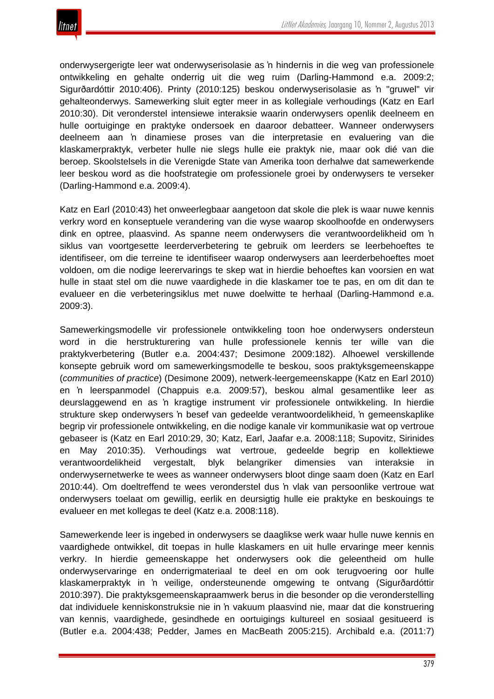

onderwysergerigte leer wat onderwyserisolasie as 'n hindernis in die weg van professionele ontwikkeling en gehalte onderrig uit die weg ruim (Darling-Hammond e.a. 2009:2; Sigurðardóttir 2010:406). Printy (2010:125) beskou onderwyserisolasie as 'n "gruwel" vir gehalteonderwys. Samewerking sluit egter meer in as kollegiale verhoudings (Katz en Earl 2010:30). Dit veronderstel intensiewe interaksie waarin onderwysers openlik deelneem en hulle oortuiginge en praktyke ondersoek en daaroor debatteer. Wanneer onderwysers deelneem aan 'n dinamiese proses van die interpretasie en evaluering van die klaskamerpraktyk, verbeter hulle nie slegs hulle eie praktyk nie, maar ook dié van die beroep. Skoolstelsels in die Verenigde State van Amerika toon derhalwe dat samewerkende leer beskou word as die hoofstrategie om professionele groei by onderwysers te verseker (Darling-Hammond e.a. 2009:4).

Katz en Earl (2010:43) het onweerlegbaar aangetoon dat skole die plek is waar nuwe kennis verkry word en konseptuele verandering van die wyse waarop skoolhoofde en onderwysers dink en optree, plaasvind. As spanne neem onderwysers die verantwoordelikheid om 'n siklus van voortgesette leerderverbetering te gebruik om leerders se leerbehoeftes te identifiseer, om die terreine te identifiseer waarop onderwysers aan leerderbehoeftes moet voldoen, om die nodige leerervarings te skep wat in hierdie behoeftes kan voorsien en wat hulle in staat stel om die nuwe vaardighede in die klaskamer toe te pas, en om dit dan te evalueer en die verbeteringsiklus met nuwe doelwitte te herhaal (Darling-Hammond e.a. 2009:3).

Samewerkingsmodelle vir professionele ontwikkeling toon hoe onderwysers ondersteun word in die herstrukturering van hulle professionele kennis ter wille van die praktykverbetering (Butler e.a. 2004:437; Desimone 2009:182). Alhoewel verskillende konsepte gebruik word om samewerkingsmodelle te beskou, soos praktyksgemeenskappe (*communities of practice*) (Desimone 2009), netwerk-leergemeenskappe (Katz en Earl 2010) en 'n leerspanmodel (Chappuis e.a. 2009:57), beskou almal gesamentlike leer as deurslaggewend en as 'n kragtige instrument vir professionele ontwikkeling. In hierdie strukture skep onderwysers 'n besef van gedeelde verantwoordelikheid, 'n gemeenskaplike begrip vir professionele ontwikkeling, en die nodige kanale vir kommunikasie wat op vertroue gebaseer is (Katz en Earl 2010:29, 30; Katz, Earl, Jaafar e.a. 2008:118; Supovitz, Sirinides en May 2010:35). Verhoudings wat vertroue, gedeelde begrip en kollektiewe verantwoordelikheid vergestalt, blyk belangriker dimensies van interaksie in onderwysernetwerke te wees as wanneer onderwysers bloot dinge saam doen (Katz en Earl 2010:44). Om doeltreffend te wees veronderstel dus 'n vlak van persoonlike vertroue wat onderwysers toelaat om gewillig, eerlik en deursigtig hulle eie praktyke en beskouings te evalueer en met kollegas te deel (Katz e.a. 2008:118).

Samewerkende leer is ingebed in onderwysers se daaglikse werk waar hulle nuwe kennis en vaardighede ontwikkel, dit toepas in hulle klaskamers en uit hulle ervaringe meer kennis verkry. In hierdie gemeenskappe het onderwysers ook die geleentheid om hulle onderwyservaringe en onderrigmateriaal te deel en om ook terugvoering oor hulle klaskamerpraktyk in 'n veilige, ondersteunende omgewing te ontvang (Sigurðardóttir 2010:397). Die praktyksgemeenskapraamwerk berus in die besonder op die veronderstelling dat individuele kenniskonstruksie nie in 'n vakuum plaasvind nie, maar dat die konstruering van kennis, vaardighede, gesindhede en oortuigings kultureel en sosiaal gesitueerd is (Butler e.a. 2004:438; Pedder, James en MacBeath 2005:215). Archibald e.a. (2011:7)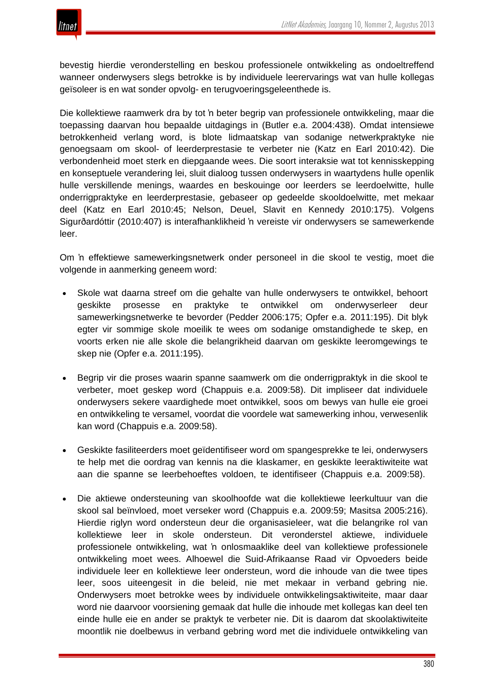

bevestig hierdie veronderstelling en beskou professionele ontwikkeling as ondoeltreffend wanneer onderwysers slegs betrokke is by individuele leerervarings wat van hulle kollegas geïsoleer is en wat sonder opvolg- en terugvoeringsgeleenthede is.

Die kollektiewe raamwerk dra by tot 'n beter begrip van professionele ontwikkeling, maar die toepassing daarvan hou bepaalde uitdagings in (Butler e.a. 2004:438). Omdat intensiewe betrokkenheid verlang word, is blote lidmaatskap van sodanige netwerkpraktyke nie genoegsaam om skool- of leerderprestasie te verbeter nie (Katz en Earl 2010:42). Die verbondenheid moet sterk en diepgaande wees. Die soort interaksie wat tot kennisskepping en konseptuele verandering lei, sluit dialoog tussen onderwysers in waartydens hulle openlik hulle verskillende menings, waardes en beskouinge oor leerders se leerdoelwitte, hulle onderrigpraktyke en leerderprestasie, gebaseer op gedeelde skooldoelwitte, met mekaar deel (Katz en Earl 2010:45; Nelson, Deuel, Slavit en Kennedy 2010:175). Volgens Sigurðardóttir (2010:407) is interafhanklikheid 'n vereiste vir onderwysers se samewerkende leer.

Om 'n effektiewe samewerkingsnetwerk onder personeel in die skool te vestig, moet die volgende in aanmerking geneem word:

- Skole wat daarna streef om die gehalte van hulle onderwysers te ontwikkel, behoort geskikte prosesse en praktyke te ontwikkel om onderwyserleer deur samewerkingsnetwerke te bevorder (Pedder 2006:175; Opfer e.a. 2011:195). Dit blyk egter vir sommige skole moeilik te wees om sodanige omstandighede te skep, en voorts erken nie alle skole die belangrikheid daarvan om geskikte leeromgewings te skep nie (Opfer e.a. 2011:195).
- Begrip vir die proses waarin spanne saamwerk om die onderrigpraktyk in die skool te verbeter, moet geskep word (Chappuis e.a. 2009:58). Dit impliseer dat individuele onderwysers sekere vaardighede moet ontwikkel, soos om bewys van hulle eie groei en ontwikkeling te versamel, voordat die voordele wat samewerking inhou, verwesenlik kan word (Chappuis e.a. 2009:58).
- Geskikte fasiliteerders moet geïdentifiseer word om spangesprekke te lei, onderwysers te help met die oordrag van kennis na die klaskamer, en geskikte leeraktiwiteite wat aan die spanne se leerbehoeftes voldoen, te identifiseer (Chappuis e.a. 2009:58).
- Die aktiewe ondersteuning van skoolhoofde wat die kollektiewe leerkultuur van die skool sal beïnvloed, moet verseker word (Chappuis e.a. 2009:59; Masitsa 2005:216). Hierdie riglyn word ondersteun deur die organisasieleer, wat die belangrike rol van kollektiewe leer in skole ondersteun. Dit veronderstel aktiewe, individuele professionele ontwikkeling, wat 'n onlosmaaklike deel van kollektiewe professionele ontwikkeling moet wees. Alhoewel die Suid-Afrikaanse Raad vir Opvoeders beide individuele leer en kollektiewe leer ondersteun, word die inhoude van die twee tipes leer, soos uiteengesit in die beleid, nie met mekaar in verband gebring nie. Onderwysers moet betrokke wees by individuele ontwikkelingsaktiwiteite, maar daar word nie daarvoor voorsiening gemaak dat hulle die inhoude met kollegas kan deel ten einde hulle eie en ander se praktyk te verbeter nie. Dit is daarom dat skoolaktiwiteite moontlik nie doelbewus in verband gebring word met die individuele ontwikkeling van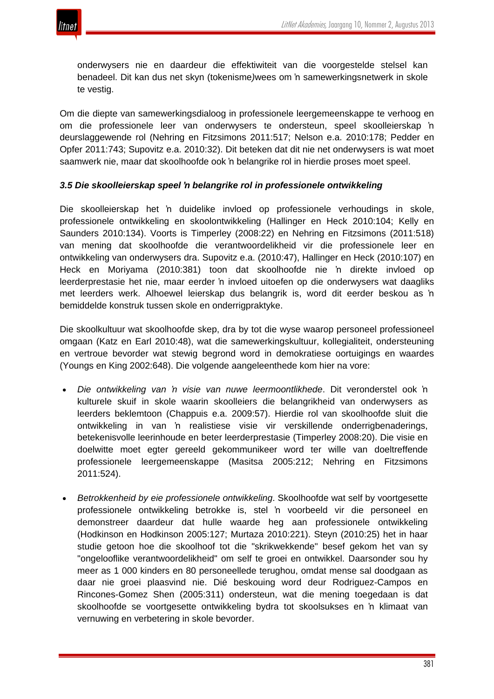

onderwysers nie en daardeur die effektiwiteit van die voorgestelde stelsel kan benadeel. Dit kan dus net skyn (tokenisme*)*wees om 'n samewerkingsnetwerk in skole te vestig.

Om die diepte van samewerkingsdialoog in professionele leergemeenskappe te verhoog en om die professionele leer van onderwysers te ondersteun, speel skoolleierskap 'n deurslaggewende rol (Nehring en Fitzsimons 2011:517; Nelson e.a. 2010:178; Pedder en Opfer 2011:743; Supovitz e.a. 2010:32). Dit beteken dat dit nie net onderwysers is wat moet saamwerk nie, maar dat skoolhoofde ook 'n belangrike rol in hierdie proses moet speel.

## *3.5 Die skoolleierskap speel 'n belangrike rol in professionele ontwikkeling*

Die skoolleierskap het 'n duidelike invloed op professionele verhoudings in skole, professionele ontwikkeling en skoolontwikkeling (Hallinger en Heck 2010:104; Kelly en Saunders 2010:134). Voorts is Timperley (2008:22) en Nehring en Fitzsimons (2011:518) van mening dat skoolhoofde die verantwoordelikheid vir die professionele leer en ontwikkeling van onderwysers dra. Supovitz e.a. (2010:47), Hallinger en Heck (2010:107) en Heck en Moriyama (2010:381) toon dat skoolhoofde nie 'n direkte invloed op leerderprestasie het nie, maar eerder 'n invloed uitoefen op die onderwysers wat daagliks met leerders werk. Alhoewel leierskap dus belangrik is, word dit eerder beskou as 'n bemiddelde konstruk tussen skole en onderrigpraktyke.

Die skoolkultuur wat skoolhoofde skep, dra by tot die wyse waarop personeel professioneel omgaan (Katz en Earl 2010:48), wat die samewerkingskultuur, kollegialiteit, ondersteuning en vertroue bevorder wat stewig begrond word in demokratiese oortuigings en waardes (Youngs en King 2002:648). Die volgende aangeleenthede kom hier na vore:

- *Die ontwikkeling van 'n visie van nuwe leermoontlikhede*. Dit veronderstel ook 'n kulturele skuif in skole waarin skoolleiers die belangrikheid van onderwysers as leerders beklemtoon (Chappuis e.a. 2009:57). Hierdie rol van skoolhoofde sluit die ontwikkeling in van 'n realistiese visie vir verskillende onderrigbenaderings, betekenisvolle leerinhoude en beter leerderprestasie (Timperley 2008:20). Die visie en doelwitte moet egter gereeld gekommunikeer word ter wille van doeltreffende professionele leergemeenskappe (Masitsa 2005:212; Nehring en Fitzsimons 2011:524).
- *Betrokkenheid by eie professionele ontwikkeling*. Skoolhoofde wat self by voortgesette professionele ontwikkeling betrokke is, stel 'n voorbeeld vir die personeel en demonstreer daardeur dat hulle waarde heg aan professionele ontwikkeling (Hodkinson en Hodkinson 2005:127; Murtaza 2010:221). Steyn (2010:25) het in haar studie getoon hoe die skoolhoof tot die "skrikwekkende" besef gekom het van sy "ongelooflike verantwoordelikheid" om self te groei en ontwikkel. Daarsonder sou hy meer as 1 000 kinders en 80 personeellede terughou, omdat mense sal doodgaan as daar nie groei plaasvind nie. Dié beskouing word deur Rodriguez-Campos en Rincones-Gomez Shen (2005:311) ondersteun, wat die mening toegedaan is dat skoolhoofde se voortgesette ontwikkeling bydra tot skoolsukses en 'n klimaat van vernuwing en verbetering in skole bevorder.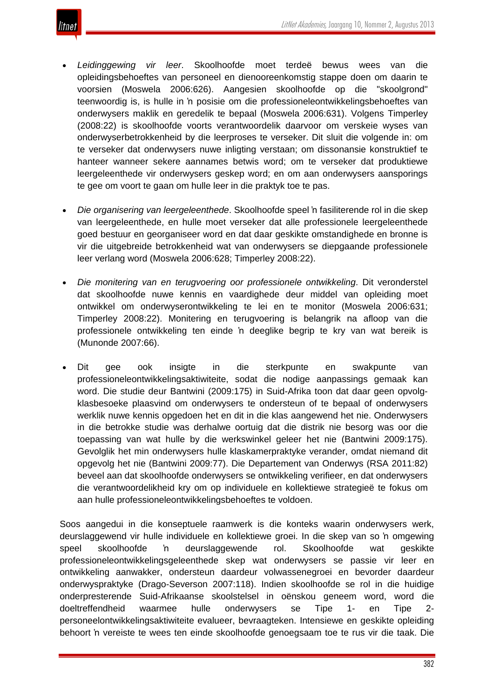

- *Leidinggewing vir leer*. Skoolhoofde moet terdeë bewus wees van die opleidingsbehoeftes van personeel en dienooreenkomstig stappe doen om daarin te voorsien (Moswela 2006:626). Aangesien skoolhoofde op die "skoolgrond" teenwoordig is, is hulle in 'n posisie om die professioneleontwikkelingsbehoeftes van onderwysers maklik en geredelik te bepaal (Moswela 2006:631). Volgens Timperley (2008:22) is skoolhoofde voorts verantwoordelik daarvoor om verskeie wyses van onderwyserbetrokkenheid by die leerproses te verseker. Dit sluit die volgende in: om te verseker dat onderwysers nuwe inligting verstaan; om dissonansie konstruktief te hanteer wanneer sekere aannames betwis word; om te verseker dat produktiewe leergeleenthede vir onderwysers geskep word; en om aan onderwysers aansporings te gee om voort te gaan om hulle leer in die praktyk toe te pas.
- *Die organisering van leergeleenthede*. Skoolhoofde speel 'n fasiliterende rol in die skep van leergeleenthede, en hulle moet verseker dat alle professionele leergeleenthede goed bestuur en georganiseer word en dat daar geskikte omstandighede en bronne is vir die uitgebreide betrokkenheid wat van onderwysers se diepgaande professionele leer verlang word (Moswela 2006:628; Timperley 2008:22).
- *Die monitering van en terugvoering oor professionele ontwikkeling*. Dit veronderstel dat skoolhoofde nuwe kennis en vaardighede deur middel van opleiding moet ontwikkel om onderwyserontwikkeling te lei en te monitor (Moswela 2006:631; Timperley 2008:22). Monitering en terugvoering is belangrik na afloop van die professionele ontwikkeling ten einde 'n deeglike begrip te kry van wat bereik is (Munonde 2007:66).
- Dit gee ook insigte in die sterkpunte en swakpunte van professioneleontwikkelingsaktiwiteite, sodat die nodige aanpassings gemaak kan word. Die studie deur Bantwini (2009:175) in Suid-Afrika toon dat daar geen opvolgklasbesoeke plaasvind om onderwysers te ondersteun of te bepaal of onderwysers werklik nuwe kennis opgedoen het en dit in die klas aangewend het nie. Onderwysers in die betrokke studie was derhalwe oortuig dat die distrik nie besorg was oor die toepassing van wat hulle by die werkswinkel geleer het nie (Bantwini 2009:175). Gevolglik het min onderwysers hulle klaskamerpraktyke verander, omdat niemand dit opgevolg het nie (Bantwini 2009:77). Die Departement van Onderwys (RSA 2011:82) beveel aan dat skoolhoofde onderwysers se ontwikkeling verifieer, en dat onderwysers die verantwoordelikheid kry om op individuele en kollektiewe strategieë te fokus om aan hulle professioneleontwikkelingsbehoeftes te voldoen.

Soos aangedui in die konseptuele raamwerk is die konteks waarin onderwysers werk, deurslaggewend vir hulle individuele en kollektiewe groei. In die skep van so 'n omgewing speel skoolhoofde 'n deurslaggewende rol. Skoolhoofde wat geskikte professioneleontwikkelingsgeleenthede skep wat onderwysers se passie vir leer en ontwikkeling aanwakker, ondersteun daardeur volwassenegroei en bevorder daardeur onderwyspraktyke (Drago-Severson 2007:118). Indien skoolhoofde se rol in die huidige onderpresterende Suid-Afrikaanse skoolstelsel in oënskou geneem word, word die doeltreffendheid waarmee hulle onderwysers se Tipe 1- en Tipe 2 personeelontwikkelingsaktiwiteite evalueer, bevraagteken. Intensiewe en geskikte opleiding behoort 'n vereiste te wees ten einde skoolhoofde genoegsaam toe te rus vir die taak. Die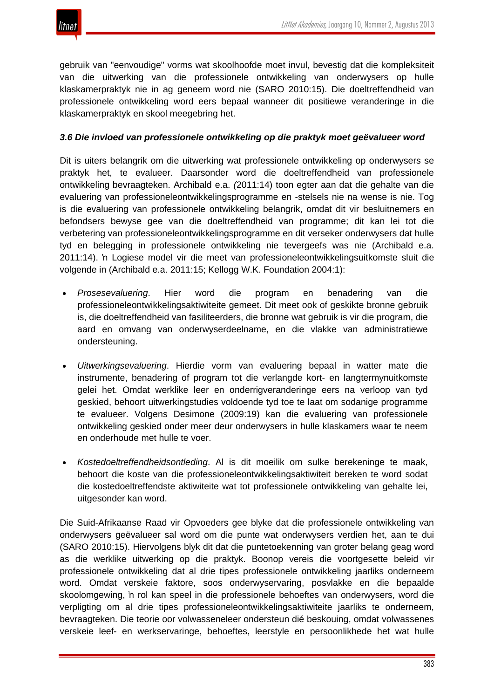

gebruik van "eenvoudige" vorms wat skoolhoofde moet invul, bevestig dat die kompleksiteit van die uitwerking van die professionele ontwikkeling van onderwysers op hulle klaskamerpraktyk nie in ag geneem word nie (SARO 2010:15). Die doeltreffendheid van professionele ontwikkeling word eers bepaal wanneer dit positiewe veranderinge in die klaskamerpraktyk en skool meegebring het.

#### *3.6 Die invloed van professionele ontwikkeling op die praktyk moet geëvalueer word*

Dit is uiters belangrik om die uitwerking wat professionele ontwikkeling op onderwysers se praktyk het, te evalueer. Daarsonder word die doeltreffendheid van professionele ontwikkeling bevraagteken. Archibald e.a. *(*2011:14) toon egter aan dat die gehalte van die evaluering van professioneleontwikkelingsprogramme en -stelsels nie na wense is nie. Tog is die evaluering van professionele ontwikkeling belangrik, omdat dit vir besluitnemers en befondsers bewyse gee van die doeltreffendheid van programme; dit kan lei tot die verbetering van professioneleontwikkelingsprogramme en dit verseker onderwysers dat hulle tyd en belegging in professionele ontwikkeling nie tevergeefs was nie (Archibald e.a. 2011:14). 'n Logiese model vir die meet van professioneleontwikkelingsuitkomste sluit die volgende in (Archibald e.a. 2011:15; Kellogg W.K. Foundation 2004:1):

- *Prosesevaluering*. Hier word die program en benadering van die professioneleontwikkelingsaktiwiteite gemeet. Dit meet ook of geskikte bronne gebruik is, die doeltreffendheid van fasiliteerders, die bronne wat gebruik is vir die program, die aard en omvang van onderwyserdeelname, en die vlakke van administratiewe ondersteuning.
- *Uitwerkingsevaluering*. Hierdie vorm van evaluering bepaal in watter mate die instrumente, benadering of program tot die verlangde kort- en langtermynuitkomste gelei het. Omdat werklike leer en onderrigveranderinge eers na verloop van tyd geskied, behoort uitwerkingstudies voldoende tyd toe te laat om sodanige programme te evalueer. Volgens Desimone (2009:19) kan die evaluering van professionele ontwikkeling geskied onder meer deur onderwysers in hulle klaskamers waar te neem en onderhoude met hulle te voer.
- *Kostedoeltreffendheidsontleding*. Al is dit moeilik om sulke berekeninge te maak, behoort die koste van die professioneleontwikkelingsaktiwiteit bereken te word sodat die kostedoeltreffendste aktiwiteite wat tot professionele ontwikkeling van gehalte lei, uitgesonder kan word.

Die Suid-Afrikaanse Raad vir Opvoeders gee blyke dat die professionele ontwikkeling van onderwysers geëvalueer sal word om die punte wat onderwysers verdien het, aan te dui (SARO 2010:15). Hiervolgens blyk dit dat die puntetoekenning van groter belang geag word as die werklike uitwerking op die praktyk. Boonop vereis die voortgesette beleid vir professionele ontwikkeling dat al drie tipes professionele ontwikkeling jaarliks onderneem word. Omdat verskeie faktore, soos onderwyservaring, posvlakke en die bepaalde skoolomgewing, 'n rol kan speel in die professionele behoeftes van onderwysers, word die verpligting om al drie tipes professioneleontwikkelingsaktiwiteite jaarliks te onderneem, bevraagteken. Die teorie oor volwasseneleer ondersteun dié beskouing, omdat volwassenes verskeie leef- en werkservaringe, behoeftes, leerstyle en persoonlikhede het wat hulle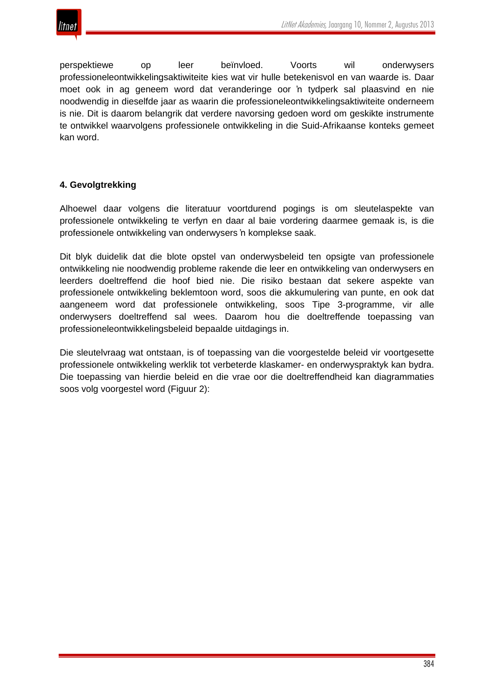

perspektiewe op leer beïnvloed. Voorts wil onderwysers professioneleontwikkelingsaktiwiteite kies wat vir hulle betekenisvol en van waarde is. Daar moet ook in ag geneem word dat veranderinge oor 'n tydperk sal plaasvind en nie noodwendig in dieselfde jaar as waarin die professioneleontwikkelingsaktiwiteite onderneem is nie. Dit is daarom belangrik dat verdere navorsing gedoen word om geskikte instrumente te ontwikkel waarvolgens professionele ontwikkeling in die Suid-Afrikaanse konteks gemeet kan word.

## **4. Gevolgtrekking**

Alhoewel daar volgens die literatuur voortdurend pogings is om sleutelaspekte van professionele ontwikkeling te verfyn en daar al baie vordering daarmee gemaak is, is die professionele ontwikkeling van onderwysers 'n komplekse saak.

Dit blyk duidelik dat die blote opstel van onderwysbeleid ten opsigte van professionele ontwikkeling nie noodwendig probleme rakende die leer en ontwikkeling van onderwysers en leerders doeltreffend die hoof bied nie. Die risiko bestaan dat sekere aspekte van professionele ontwikkeling beklemtoon word, soos die akkumulering van punte, en ook dat aangeneem word dat professionele ontwikkeling, soos Tipe 3-programme, vir alle onderwysers doeltreffend sal wees. Daarom hou die doeltreffende toepassing van professioneleontwikkelingsbeleid bepaalde uitdagings in.

Die sleutelvraag wat ontstaan, is of toepassing van die voorgestelde beleid vir voortgesette professionele ontwikkeling werklik tot verbeterde klaskamer- en onderwyspraktyk kan bydra. Die toepassing van hierdie beleid en die vrae oor die doeltreffendheid kan diagrammaties soos volg voorgestel word (Figuur 2):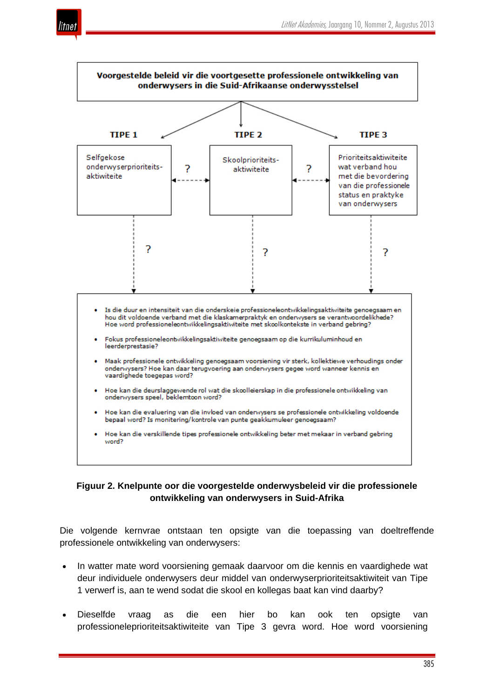



# **Figuur 2. Knelpunte oor die voorgestelde onderwysbeleid vir die professionele ontwikkeling van onderwysers in Suid-Afrika**

Die volgende kernvrae ontstaan ten opsigte van die toepassing van doeltreffende professionele ontwikkeling van onderwysers:

- In watter mate word voorsiening gemaak daarvoor om die kennis en vaardighede wat deur individuele onderwysers deur middel van onderwyserprioriteitsaktiwiteit van Tipe 1 verwerf is, aan te wend sodat die skool en kollegas baat kan vind daarby?
- Dieselfde vraag as die een hier bo kan ook ten opsigte van professioneleprioriteitsaktiwiteite van Tipe 3 gevra word. Hoe word voorsiening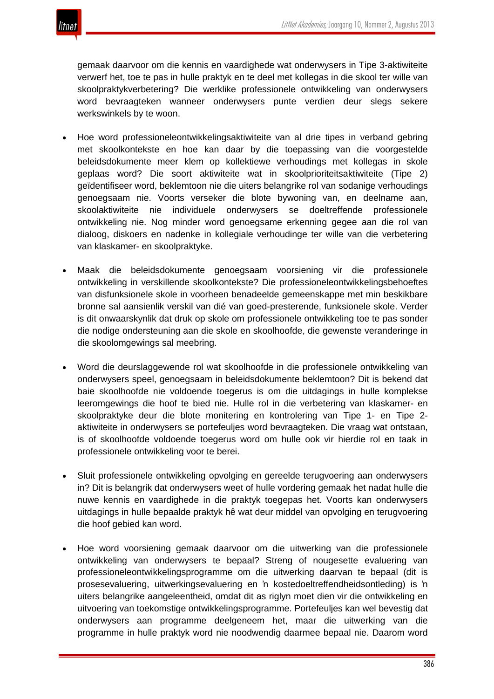

gemaak daarvoor om die kennis en vaardighede wat onderwysers in Tipe 3-aktiwiteite verwerf het, toe te pas in hulle praktyk en te deel met kollegas in die skool ter wille van skoolpraktykverbetering? Die werklike professionele ontwikkeling van onderwysers word bevraagteken wanneer onderwysers punte verdien deur slegs sekere werkswinkels by te woon.

- Hoe word professioneleontwikkelingsaktiwiteite van al drie tipes in verband gebring met skoolkontekste en hoe kan daar by die toepassing van die voorgestelde beleidsdokumente meer klem op kollektiewe verhoudings met kollegas in skole geplaas word? Die soort aktiwiteite wat in skoolprioriteitsaktiwiteite (Tipe 2) geïdentifiseer word, beklemtoon nie die uiters belangrike rol van sodanige verhoudings genoegsaam nie. Voorts verseker die blote bywoning van, en deelname aan, skoolaktiwiteite nie individuele onderwysers se doeltreffende professionele ontwikkeling nie. Nog minder word genoegsame erkenning gegee aan die rol van dialoog, diskoers en nadenke in kollegiale verhoudinge ter wille van die verbetering van klaskamer- en skoolpraktyke.
- Maak die beleidsdokumente genoegsaam voorsiening vir die professionele ontwikkeling in verskillende skoolkontekste? Die professioneleontwikkelingsbehoeftes van disfunksionele skole in voorheen benadeelde gemeenskappe met min beskikbare bronne sal aansienlik verskil van dié van goed-presterende, funksionele skole. Verder is dit onwaarskynlik dat druk op skole om professionele ontwikkeling toe te pas sonder die nodige ondersteuning aan die skole en skoolhoofde, die gewenste veranderinge in die skoolomgewings sal meebring.
- Word die deurslaggewende rol wat skoolhoofde in die professionele ontwikkeling van onderwysers speel, genoegsaam in beleidsdokumente beklemtoon? Dit is bekend dat baie skoolhoofde nie voldoende toegerus is om die uitdagings in hulle komplekse leeromgewings die hoof te bied nie. Hulle rol in die verbetering van klaskamer- en skoolpraktyke deur die blote monitering en kontrolering van Tipe 1- en Tipe 2 aktiwiteite in onderwysers se portefeuljes word bevraagteken. Die vraag wat ontstaan, is of skoolhoofde voldoende toegerus word om hulle ook vir hierdie rol en taak in professionele ontwikkeling voor te berei.
- Sluit professionele ontwikkeling opvolging en gereelde terugvoering aan onderwysers in? Dit is belangrik dat onderwysers weet of hulle vordering gemaak het nadat hulle die nuwe kennis en vaardighede in die praktyk toegepas het. Voorts kan onderwysers uitdagings in hulle bepaalde praktyk hê wat deur middel van opvolging en terugvoering die hoof gebied kan word.
- Hoe word voorsiening gemaak daarvoor om die uitwerking van die professionele ontwikkeling van onderwysers te bepaal? Streng of nougesette evaluering van professioneleontwikkelingsprogramme om die uitwerking daarvan te bepaal (dit is prosesevaluering, uitwerkingsevaluering en 'n kostedoeltreffendheidsontleding) is 'n uiters belangrike aangeleentheid, omdat dit as riglyn moet dien vir die ontwikkeling en uitvoering van toekomstige ontwikkelingsprogramme. Portefeuljes kan wel bevestig dat onderwysers aan programme deelgeneem het, maar die uitwerking van die programme in hulle praktyk word nie noodwendig daarmee bepaal nie. Daarom word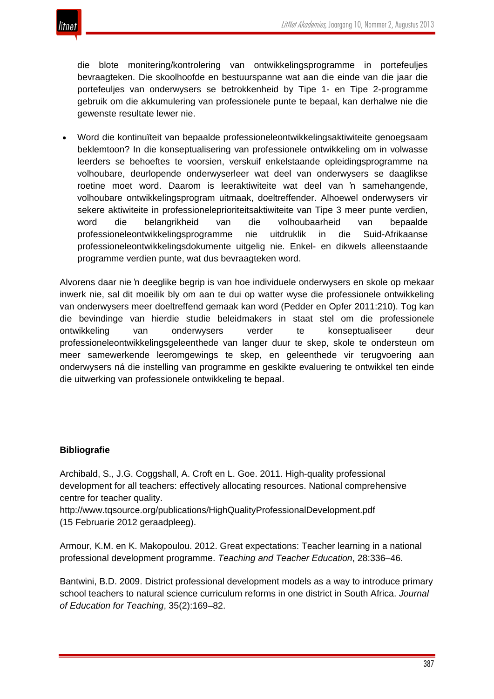

die blote monitering/kontrolering van ontwikkelingsprogramme in portefeuljes bevraagteken. Die skoolhoofde en bestuurspanne wat aan die einde van die jaar die portefeuljes van onderwysers se betrokkenheid by Tipe 1- en Tipe 2-programme gebruik om die akkumulering van professionele punte te bepaal, kan derhalwe nie die gewenste resultate lewer nie.

• Word die kontinuïteit van bepaalde professioneleontwikkelingsaktiwiteite genoegsaam beklemtoon? In die konseptualisering van professionele ontwikkeling om in volwasse leerders se behoeftes te voorsien, verskuif enkelstaande opleidingsprogramme na volhoubare, deurlopende onderwyserleer wat deel van onderwysers se daaglikse roetine moet word. Daarom is leeraktiwiteite wat deel van 'n samehangende, volhoubare ontwikkelingsprogram uitmaak, doeltreffender. Alhoewel onderwysers vir sekere aktiwiteite in professioneleprioriteitsaktiwiteite van Tipe 3 meer punte verdien, word die belangrikheid van die volhoubaarheid van bepaalde professioneleontwikkelingsprogramme nie uitdruklik in die Suid-Afrikaanse professioneleontwikkelingsdokumente uitgelig nie. Enkel- en dikwels alleenstaande programme verdien punte, wat dus bevraagteken word.

Alvorens daar nie 'n deeglike begrip is van hoe individuele onderwysers en skole op mekaar inwerk nie, sal dit moeilik bly om aan te dui op watter wyse die professionele ontwikkeling van onderwysers meer doeltreffend gemaak kan word (Pedder en Opfer 2011:210). Tog kan die bevindinge van hierdie studie beleidmakers in staat stel om die professionele ontwikkeling van onderwysers verder te konseptualiseer deur professioneleontwikkelingsgeleenthede van langer duur te skep, skole te ondersteun om meer samewerkende leeromgewings te skep, en geleenthede vir terugvoering aan onderwysers ná die instelling van programme en geskikte evaluering te ontwikkel ten einde die uitwerking van professionele ontwikkeling te bepaal.

#### **Bibliografie**

Archibald, S., J.G. Coggshall, A. Croft en L. Goe. 2011. High-quality professional development for all teachers: effectively allocating resources. National comprehensive centre for teacher quality.

http://www.tqsource.org/publications/HighQualityProfessionalDevelopment.pdf (15 Februarie 2012 geraadpleeg).

Armour, K.M. en K. Makopoulou. 2012. Great expectations: Teacher learning in a national professional development programme. *Teaching and Teacher Education*, 28:336–46.

Bantwini, B.D. 2009. District professional development models as a way to introduce primary school teachers to natural science curriculum reforms in one district in South Africa. *Journal of Education for Teaching*, 35(2):169–82.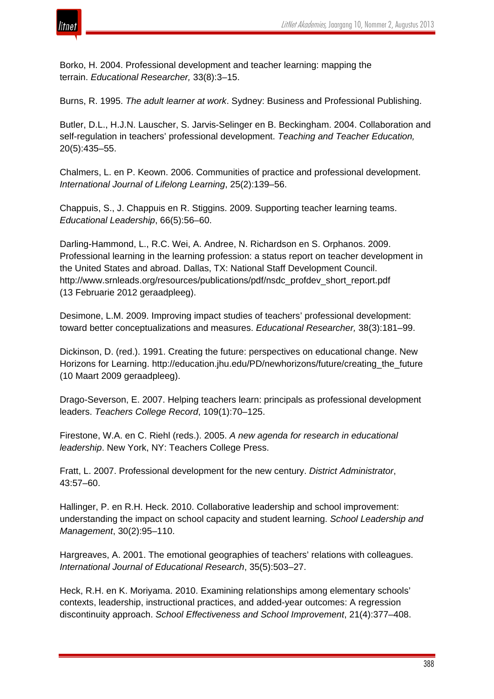

Borko, H. 2004. Professional development and teacher learning: mapping the terrain. *Educational Researcher,* 33(8):3–15.

Burns, R. 1995. *The adult learner at work*. Sydney: Business and Professional Publishing.

Butler, D.L., H.J.N. Lauscher, S. Jarvis-Selinger en B. Beckingham. 2004. Collaboration and self-regulation in teachers' professional development. *Teaching and Teacher Education,* 20(5):435–55.

Chalmers, L. en P. Keown. 2006. Communities of practice and professional development. *International Journal of Lifelong Learning*, 25(2):139–56.

Chappuis, S., J. Chappuis en R. Stiggins. 2009. Supporting teacher learning teams. *Educational Leadership*, 66(5):56–60.

Darling-Hammond, L., R.C. Wei, A. Andree, N. Richardson en S. Orphanos. 2009. Professional learning in the learning profession: a status report on teacher development in the United States and abroad. Dallas, TX: National Staff Development Council. http://www.srnleads.org/resources/publications/pdf/nsdc\_profdev\_short\_report.pdf (13 Februarie 2012 geraadpleeg).

Desimone, L.M. 2009. Improving impact studies of teachers' professional development: toward better conceptualizations and measures. *Educational Researcher,* 38(3):181–99.

Dickinson, D. (red.). 1991. Creating the future: perspectives on educational change. New Horizons for Learning. http://education.jhu.edu/PD/newhorizons/future/creating\_the\_future (10 Maart 2009 geraadpleeg).

Drago-Severson, E. 2007. Helping teachers learn: principals as professional development leaders. *Teachers College Record*, 109(1):70–125.

Firestone, W.A. en C. Riehl (reds.). 2005. *A new agenda for research in educational leadership*. New York, NY: Teachers College Press.

Fratt, L. 2007. Professional development for the new century. *District Administrator*, 43:57–60.

Hallinger, P. en R.H. Heck. 2010. Collaborative leadership and school improvement: understanding the impact on school capacity and student learning. *School Leadership and Management*, 30(2):95–110.

Hargreaves, A. 2001. The emotional geographies of teachers' relations with colleagues. *International Journal of Educational Research*, 35(5):503–27.

Heck, R.H. en K. Moriyama. 2010. Examining relationships among elementary schools' contexts, leadership, instructional practices, and added-year outcomes: A regression discontinuity approach. *School Effectiveness and School Improvement*, 21(4):377–408.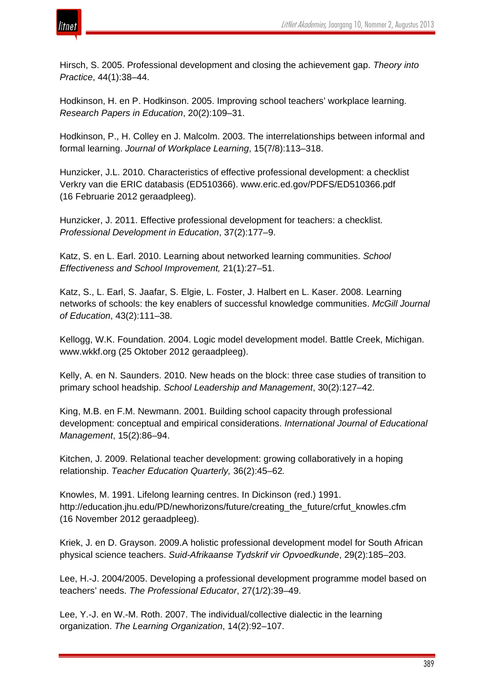

Hirsch, S. 2005. Professional development and closing the achievement gap. *Theory into Practice*, 44(1):38–44.

Hodkinson, H. en P. Hodkinson. 2005. Improving school teachers' workplace learning. *Research Papers in Education*, 20(2):109–31.

Hodkinson, P., H. Colley en J. Malcolm. 2003. The interrelationships between informal and formal learning. *Journal of Workplace Learning*, 15(7/8):113–318.

Hunzicker, J.L. 2010. Characteristics of effective professional development: a checklist Verkry van die ERIC databasis (ED510366). www.eric.ed.gov/PDFS/ED510366.pdf (16 Februarie 2012 geraadpleeg).

Hunzicker, J. 2011. Effective professional development for teachers: a checklist. *Professional Development in Education*, 37(2):177–9.

Katz, S. en L. Earl. 2010. Learning about networked learning communities. *School Effectiveness and School Improvement,* 21(1):27–51.

Katz, S., L. Earl, S. Jaafar, S. Elgie, L. Foster, J. Halbert en L. Kaser. 2008. Learning networks of schools: the key enablers of successful knowledge communities. *McGill Journal of Education*, 43(2):111–38.

Kellogg, W.K. Foundation. 2004. Logic model development model. Battle Creek, Michigan. www.wkkf.org (25 Oktober 2012 geraadpleeg).

Kelly, A. en N. Saunders. 2010. New heads on the block: three case studies of transition to primary school headship. *School Leadership and Management*, 30(2):127–42.

King, M.B. en F.M. Newmann. 2001. Building school capacity through professional development: conceptual and empirical considerations. *International Journal of Educational Management*, 15(2):86–94.

Kitchen, J. 2009. Relational teacher development: growing collaboratively in a hoping relationship. *Teacher Education Quarterly,* 36(2):45–62*.*

Knowles, M. 1991. Lifelong learning centres. In Dickinson (red.) 1991. http://education.jhu.edu/PD/newhorizons/future/creating\_the\_future/crfut\_knowles.cfm (16 November 2012 geraadpleeg).

Kriek, J. en D. Grayson. 2009.A holistic professional development model for South African physical science teachers. *Suid-Afrikaanse Tydskrif vir Opvoedkunde*, 29(2):185–203.

Lee, H.-J. 2004/2005. Developing a professional development programme model based on teachers' needs. *The Professional Educator*, 27(1/2):39–49.

Lee, Y.-J. en W.-M. Roth. 2007. The individual/collective dialectic in the learning organization. *The Learning Organization*, 14(2):92–107.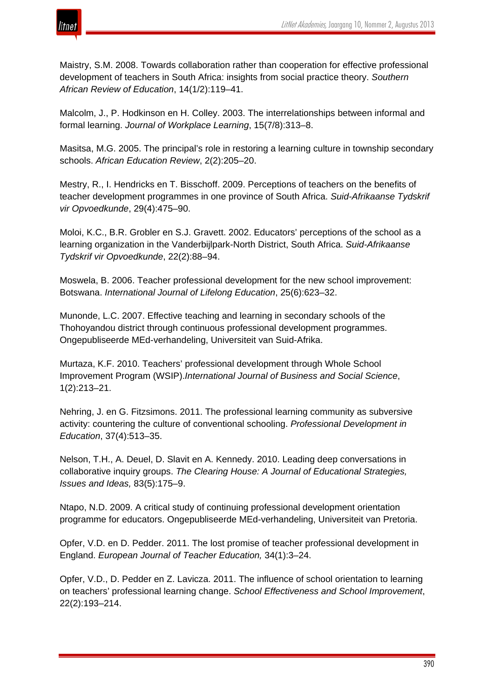

Maistry, S.M. 2008. Towards collaboration rather than cooperation for effective professional development of teachers in South Africa: insights from social practice theory. *Southern African Review of Education*, 14(1/2):119–41.

Malcolm, J., P. Hodkinson en H. Colley. 2003. The interrelationships between informal and formal learning. *Journal of Workplace Learning*, 15(7/8):313–8.

Masitsa, M.G. 2005. The principal's role in restoring a learning culture in township secondary schools. *African Education Review*, 2(2):205–20.

Mestry, R., I. Hendricks en T. Bisschoff. 2009. Perceptions of teachers on the benefits of teacher development programmes in one province of South Africa. *Suid-Afrikaanse Tydskrif vir Opvoedkunde*, 29(4):475–90.

Moloi, K.C., B.R. Grobler en S.J. Gravett. 2002. Educators' perceptions of the school as a learning organization in the Vanderbijlpark-North District, South Africa. *Suid-Afrikaanse Tydskrif vir Opvoedkunde*, 22(2):88–94.

Moswela, B. 2006. Teacher professional development for the new school improvement: Botswana. *International Journal of Lifelong Education*, 25(6):623–32.

Munonde, L.C. 2007. Effective teaching and learning in secondary schools of the Thohoyandou district through continuous professional development programmes. Ongepubliseerde MEd-verhandeling, Universiteit van Suid-Afrika.

Murtaza, K.F. 2010. Teachers' professional development through Whole School Improvement Program (WSIP).*International Journal of Business and Social Science*, 1(2):213–21.

Nehring, J. en G. Fitzsimons. 2011. The professional learning community as subversive activity: countering the culture of conventional schooling. *Professional Development in Education*, 37(4):513–35.

Nelson, T.H., A. Deuel, D. Slavit en A. Kennedy. 2010. Leading deep conversations in collaborative inquiry groups. *The Clearing House: A Journal of Educational Strategies, Issues and Ideas,* 83(5):175–9.

Ntapo, N.D. 2009. A critical study of continuing professional development orientation programme for educators. Ongepubliseerde MEd-verhandeling, Universiteit van Pretoria.

Opfer, V.D. en D. Pedder. 2011. The lost promise of teacher professional development in England. *European Journal of Teacher Education,* 34(1):3–24.

Opfer, V.D., D. Pedder en Z. Lavicza. 2011. The influence of school orientation to learning on teachers' professional learning change. *School Effectiveness and School Improvement*, 22(2):193–214.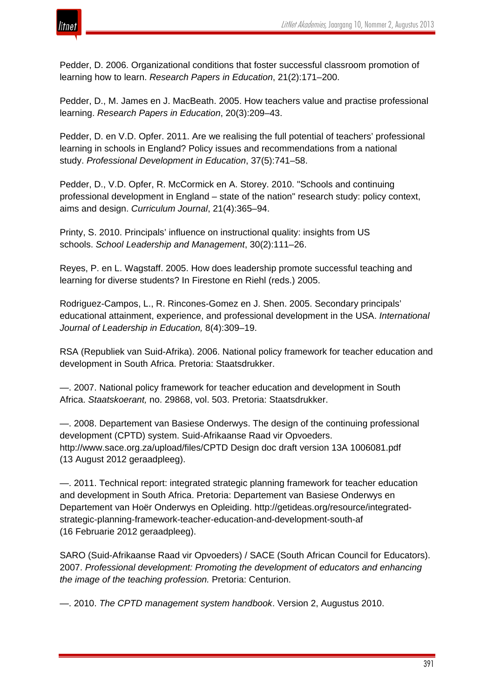

Pedder, D. 2006. Organizational conditions that foster successful classroom promotion of learning how to learn. *Research Papers in Education*, 21(2):171–200.

Pedder, D., M. James en J. MacBeath. 2005. How teachers value and practise professional learning. *Research Papers in Education*, 20(3):209–43.

Pedder, D. en V.D. Opfer. 2011. Are we realising the full potential of teachers' professional learning in schools in England? Policy issues and recommendations from a national study. *Professional Development in Education*, 37(5):741–58.

Pedder, D., V.D. Opfer, R. McCormick en A. Storey. 2010. "Schools and continuing professional development in England – state of the nation" research study: policy context, aims and design. *Curriculum Journal*, 21(4):365–94.

Printy, S. 2010. Principals' influence on instructional quality: insights from US schools. *School Leadership and Management*, 30(2):111–26.

Reyes, P. en L. Wagstaff. 2005. How does leadership promote successful teaching and learning for diverse students? In Firestone en Riehl (reds.) 2005.

Rodriguez-Campos, L., R. Rincones-Gomez en J. Shen. 2005. Secondary principals' educational attainment, experience, and professional development in the USA. *International Journal of Leadership in Education,* 8(4):309–19.

RSA (Republiek van Suid-Afrika). 2006. National policy framework for teacher education and development in South Africa. Pretoria: Staatsdrukker.

—. 2007. National policy framework for teacher education and development in South Africa. *Staatskoerant,* no. 29868, vol. 503. Pretoria: Staatsdrukker.

—. 2008. Departement van Basiese Onderwys. The design of the continuing professional development (CPTD) system. Suid-Afrikaanse Raad vir Opvoeders. http://www.sace.org.za/upload/files/CPTD Design doc draft version 13A 1006081.pdf (13 August 2012 geraadpleeg).

—. 2011. Technical report: integrated strategic planning framework for teacher education and development in South Africa. Pretoria: Departement van Basiese Onderwys en Departement van Hoër Onderwys en Opleiding. http://getideas.org/resource/integratedstrategic-planning-framework-teacher-education-and-development-south-af (16 Februarie 2012 geraadpleeg).

SARO (Suid-Afrikaanse Raad vir Opvoeders) / SACE (South African Council for Educators). 2007. *Professional development: Promoting the development of educators and enhancing the image of the teaching profession.* Pretoria: Centurion.

—. 2010. *The CPTD management system handbook*. Version 2, Augustus 2010.